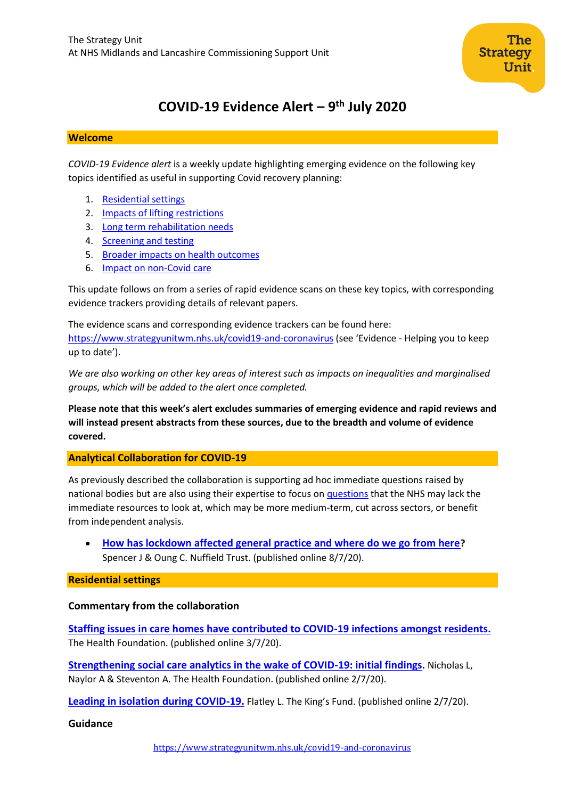# **COVID-19 Evidence Alert – 9 th July 2020**

#### **Welcome**

*COVID-19 Evidence alert* is a weekly update highlighting emerging evidence on the following key topics identified as useful in supporting Covid recovery planning:

- 1. [Residential settings](#page-0-0)
- 2. Impacts of lifting restrictions
- 3. Long term rehabilitation needs
- 4. [Screening and testing](#page-6-0)
- 5. [Broader impacts on health outcomes](#page-10-0)
- 6. Impact on non-Covid care

This update follows on from a series of rapid evidence scans on these key topics, with corresponding evidence trackers providing details of relevant papers.

The evidence scans and corresponding evidence trackers can be found here: <https://www.strategyunitwm.nhs.uk/covid19-and-coronavirus> (see 'Evidence - Helping you to keep up to date').

*We are also working on other key areas of interest such as impacts on inequalities and marginalised groups, which will be added to the alert once completed.*

**Please note that this week's alert excludes summaries of emerging evidence and rapid reviews and will instead present abstracts from these sources, due to the breadth and volume of evidence covered.**

## <span id="page-0-0"></span>**Analytical Collaboration for COVID-19**

As previously described the collaboration is supporting ad hoc immediate questions raised by national bodies but are also using their expertise to focus on [questions](https://www.strategyunitwm.nhs.uk/sites/default/files/2020-05/Covid%20Collaboration%20Summaries_0.pdf) that the NHS may lack the immediate resources to look at, which may be more medium-term, cut across sectors, or benefit from independent analysis.

• **[How has lockdown affected general practice and where do we go from here](https://www.nuffieldtrust.org.uk/news-item/how-has-lockdown-affected-general-practice-and-where-do-we-go-from-here)?** Spencer J & Oung C. Nuffield Trust. (published online 8/7/20).

**Residential settings**

## **Commentary from the collaboration**

**[Staffing issues in care homes have contributed to COVID-19 infections amongst residents.](https://www.health.org.uk/news-and-comment/news/staffing-issues-in-care-homes-have-contributed-to-covid-19-infections)** The Health Foundation. (published online 3/7/20).

**[Strengthening social care analytics in the wake of COVID-19: initial findings](https://www.health.org.uk/news-and-comment/blogs/strengthening-social-care-analytics-in-the-wake-of-covid-19-initial-findings).** Nicholas L, Naylor A & Steventon A. The Health Foundation. (published online 2/7/20).

**[Leading in isolation during COVID-19.](https://www.kingsfund.org.uk/publications/leading-isolation-covid-19?utm_source=The%20King%27s%20Fund%20newsletters%20%28main%20account%29&utm_medium=email&utm_campaign=11653409_NEWSL_The%20Weekly%20Update%202020-07-02&utm_content=ltc_leading_in_isolation_button&dm_i=21A8,6XRTT,FLX5Q6,RWHXB,1)** Flatley L. The King's Fund. (published online 2/7/20).

## **Guidance**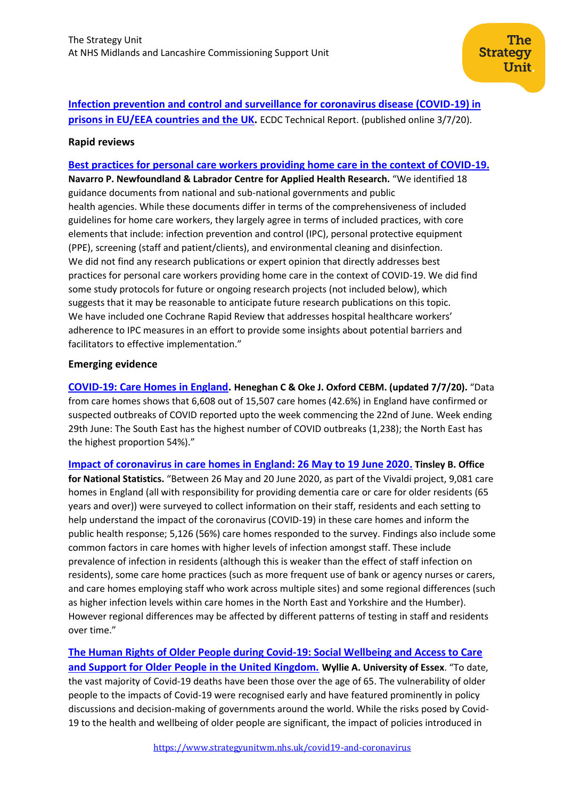# **[Infection prevention and control and surveillance for coronavirus disease \(COVID-19\) in](https://www.ecdc.europa.eu/sites/default/files/documents/IPC-and-surveillance-for-coronavirus-disease-in-prisons.pdf)  prisons in EU/EEA [countries and the UK.](https://www.ecdc.europa.eu/sites/default/files/documents/IPC-and-surveillance-for-coronavirus-disease-in-prisons.pdf)** ECDC Technical Report. (published online 3/7/20).

The

Unit.

**Strategy** 

## **Rapid reviews**

**[Best practices for personal care workers providing home care in the context of COVID-19.](https://www.nlcahr.mun.ca/CHRSP/COVID19QRRPersonalCareJune302020.pdf) Navarro P. Newfoundland & Labrador Centre for Applied Health Research.** "We identified 18 guidance documents from national and sub-national governments and public health agencies. While these documents differ in terms of the comprehensiveness of included guidelines for home care workers, they largely agree in terms of included practices, with core elements that include: infection prevention and control (IPC), personal protective equipment (PPE), screening (staff and patient/clients), and environmental cleaning and disinfection. We did not find any research publications or expert opinion that directly addresses best practices for personal care workers providing home care in the context of COVID-19. We did find some study protocols for future or ongoing research projects (not included below), which suggests that it may be reasonable to anticipate future research publications on this topic. We have included one Cochrane Rapid Review that addresses hospital healthcare workers' adherence to IPC measures in an effort to provide some insights about potential barriers and facilitators to effective implementation."

## **Emerging evidence**

**[COVID-19: Care Homes in England.](https://www.cebm.net/covid-19/covid-19-care-homes/) Heneghan C & Oke J. Oxford CEBM. (updated 7/7/20).** "Data from care homes shows that 6,608 out of 15,507 care homes (42.6%) in England have confirmed or suspected outbreaks of COVID reported upto the week commencing the 22nd of June. Week ending 29th June: The South East has the highest number of COVID outbreaks (1,238); the North East has the highest proportion 54%)."

**[Impact of coronavirus in care homes in England: 26 May to 19 June 2020.](https://www.ons.gov.uk/peoplepopulationandcommunity/healthandsocialcare/conditionsanddiseases/articles/impactofcoronavirusincarehomesinenglandvivaldi/26mayto19june2020/pdf) Tinsley B. Office for National Statistics.** "Between 26 May and 20 June 2020, as part of the Vivaldi project, 9,081 care homes in England (all with responsibility for providing dementia care or care for older residents (65 years and over)) were surveyed to collect information on their staff, residents and each setting to help understand the impact of the coronavirus (COVID-19) in these care homes and inform the public health response; 5,126 (56%) care homes responded to the survey. Findings also include some common factors in care homes with higher levels of infection amongst staff. These include prevalence of infection in residents (although this is weaker than the effect of staff infection on residents), some care home practices (such as more frequent use of bank or agency nurses or carers, and care homes employing staff who work across multiple sites) and some regional differences (such as higher infection levels within care homes in the North East and Yorkshire and the Humber). However regional differences may be affected by different patterns of testing in staff and residents over time."

**[The Human Rights of Older People during Covid-19: Social Wellbeing and Access to Care](http://repository.essex.ac.uk/28042/)  [and Support for Older People in the United Kingdom.](http://repository.essex.ac.uk/28042/) Wyllie A. University of Essex**. "To date, the vast majority of Covid-19 deaths have been those over the age of 65. The vulnerability of older people to the impacts of Covid-19 were recognised early and have featured prominently in policy discussions and decision-making of governments around the world. While the risks posed by Covid-19 to the health and wellbeing of older people are significant, the impact of policies introduced in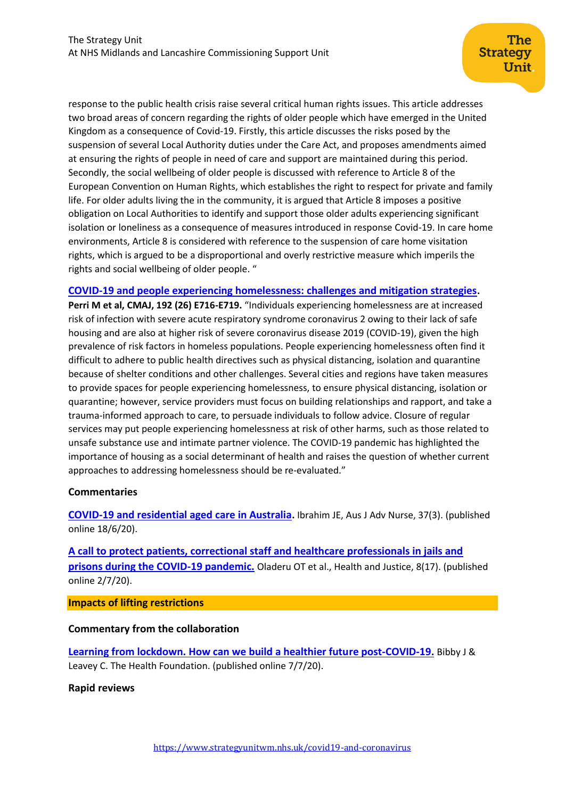response to the public health crisis raise several critical human rights issues. This article addresses two broad areas of concern regarding the rights of older people which have emerged in the United Kingdom as a consequence of Covid-19. Firstly, this article discusses the risks posed by the suspension of several Local Authority duties under the Care Act, and proposes amendments aimed at ensuring the rights of people in need of care and support are maintained during this period. Secondly, the social wellbeing of older people is discussed with reference to Article 8 of the European Convention on Human Rights, which establishes the right to respect for private and family life. For older adults living the in the community, it is argued that Article 8 imposes a positive obligation on Local Authorities to identify and support those older adults experiencing significant isolation or loneliness as a consequence of measures introduced in response Covid-19. In care home environments, Article 8 is considered with reference to the suspension of care home visitation rights, which is argued to be a disproportional and overly restrictive measure which imperils the rights and social wellbeing of older people. "

## **[COVID-19 and people experiencing homelessness: challenges and mitigation strategies](https://www.cmaj.ca/content/192/26/E716).**

**Perri M et al, CMAJ, 192 (26) E716-E719.** "Individuals experiencing homelessness are at increased risk of infection with severe acute respiratory syndrome coronavirus 2 owing to their lack of safe housing and are also at higher risk of severe coronavirus disease 2019 (COVID-19), given the high prevalence of risk factors in homeless populations. People experiencing homelessness often find it difficult to adhere to public health directives such as physical distancing, isolation and quarantine because of shelter conditions and other challenges. Several cities and regions have taken measures to provide spaces for people experiencing homelessness, to ensure physical distancing, isolation or quarantine; however, service providers must focus on building relationships and rapport, and take a trauma-informed approach to care, to persuade individuals to follow advice. Closure of regular services may put people experiencing homelessness at risk of other harms, such as those related to unsafe substance use and intimate partner violence. The COVID-19 pandemic has highlighted the importance of housing as a social determinant of health and raises the question of whether current approaches to addressing homelessness should be re-evaluated."

#### **Commentaries**

**[COVID-19 and residential aged care in Australia](https://www.ajan.com.au/index.php/AJAN/article/view/226).** Ibrahim JE, Aus J Adv Nurse, 37(3). (published online 18/6/20).

**[A call to protect patients, correctional staff and healthcare professionals in jails and](https://healthandjusticejournal.biomedcentral.com/articles/10.1186/s40352-020-00119-1)  [prisons during the COVID-19 pandemic.](https://healthandjusticejournal.biomedcentral.com/articles/10.1186/s40352-020-00119-1)** Oladeru OT et al., Health and Justice, 8(17). (published online 2/7/20).

**Impacts of lifting restrictions**

#### **Commentary from the collaboration**

**[Learning from lockdown. How can we build a healthier future post-COVID-19.](https://www.health.org.uk/publications/long-reads/learning-from-lockdown)** Bibby J & Leavey C. The Health Foundation. (published online 7/7/20).

#### **Rapid reviews**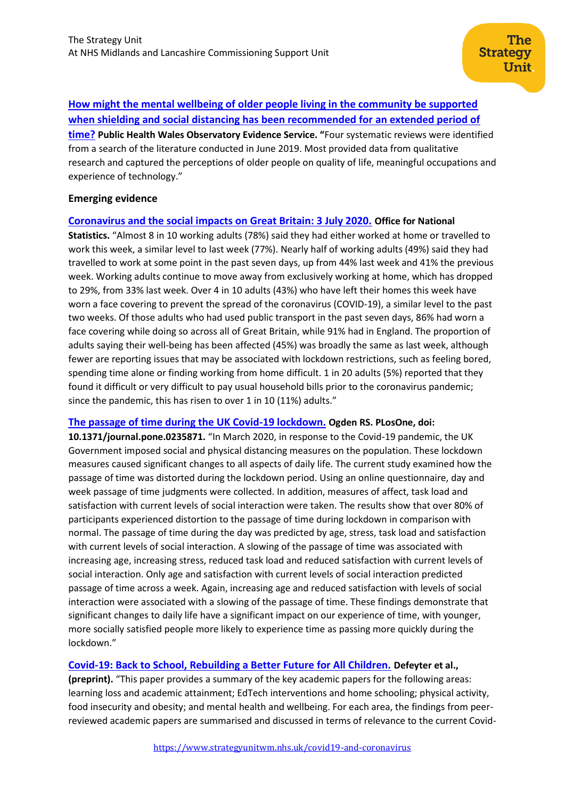# **[How might the mental wellbeing of older people living in the community be supported](http://www2.nphs.wales.nhs.uk:8080/PubHObservatoryProjDocs.nsf/85c50756737f79ac80256f2700534ea3/a2e2ebe4d87fd47c8025855f003a454c/$FILE/Mental%20wellbeing%20in%20older%20people%20rapid%20response%20FINAL.pdf)  [when shielding and social distancing has been recommended for an extended period of](http://www2.nphs.wales.nhs.uk:8080/PubHObservatoryProjDocs.nsf/85c50756737f79ac80256f2700534ea3/a2e2ebe4d87fd47c8025855f003a454c/$FILE/Mental%20wellbeing%20in%20older%20people%20rapid%20response%20FINAL.pdf)  [time?](http://www2.nphs.wales.nhs.uk:8080/PubHObservatoryProjDocs.nsf/85c50756737f79ac80256f2700534ea3/a2e2ebe4d87fd47c8025855f003a454c/$FILE/Mental%20wellbeing%20in%20older%20people%20rapid%20response%20FINAL.pdf) Public Health Wales Observatory Evidence Service. "**Four systematic reviews were identified from a search of the literature conducted in June 2019. Most provided data from qualitative research and captured the perceptions of older people on quality of life, meaningful occupations and experience of technology."

## **Emerging evidence**

## **[Coronavirus and the social impacts on Great Britain: 3 July 2020.](https://www.ons.gov.uk/peoplepopulationandcommunity/healthandsocialcare/healthandwellbeing/bulletins/coronavirusandthesocialimpactsongreatbritain/3july2020) Office for National**

**Statistics.** "Almost 8 in 10 working adults (78%) said they had either worked at home or travelled to work this week, a similar level to last week (77%). Nearly half of working adults (49%) said they had travelled to work at some point in the past seven days, up from 44% last week and 41% the previous week. Working adults continue to move away from exclusively working at home, which has dropped to 29%, from 33% last week. Over 4 in 10 adults (43%) who have left their homes this week have worn a face covering to prevent the spread of the coronavirus (COVID-19), a similar level to the past two weeks. Of those adults who had used public transport in the past seven days, 86% had worn a face covering while doing so across all of Great Britain, while 91% had in England. The proportion of adults saying their well-being has been affected (45%) was broadly the same as last week, although fewer are reporting issues that may be associated with lockdown restrictions, such as feeling bored, spending time alone or finding working from home difficult. 1 in 20 adults (5%) reported that they found it difficult or very difficult to pay usual household bills prior to the coronavirus pandemic; since the pandemic, this has risen to over 1 in 10 (11%) adults."

#### **[The passage of time during the UK Covid-19 lockdown.](https://journals.plos.org/plosone/article?id=10.1371/journal.pone.0235871) Ogden RS. PLosOne, doi:**

**10.1371/journal.pone.0235871.** "In March 2020, in response to the Covid-19 pandemic, the UK Government imposed social and physical distancing measures on the population. These lockdown measures caused significant changes to all aspects of daily life. The current study examined how the passage of time was distorted during the lockdown period. Using an online questionnaire, day and week passage of time judgments were collected. In addition, measures of affect, task load and satisfaction with current levels of social interaction were taken. The results show that over 80% of participants experienced distortion to the passage of time during lockdown in comparison with normal. The passage of time during the day was predicted by age, stress, task load and satisfaction with current levels of social interaction. A slowing of the passage of time was associated with increasing age, increasing stress, reduced task load and reduced satisfaction with current levels of social interaction. Only age and satisfaction with current levels of social interaction predicted passage of time across a week. Again, increasing age and reduced satisfaction with levels of social interaction were associated with a slowing of the passage of time. These findings demonstrate that significant changes to daily life have a significant impact on our experience of time, with younger, more socially satisfied people more likely to experience time as passing more quickly during the lockdown."

## **[Covid-19: Back to School, Rebuilding a Better Future for All Children.](https://www.researchgate.net/publication/342069029_Written_evidence_submitted_by_Professor_Greta_Defeyter_Covid-19_Back_to_School_Rebuilding_a_Better_Future_for_All_Children_Covid-19_and_School_%27Closures%27) Defeyter et al.,**

**(preprint).** "This paper provides a summary of the key academic papers for the following areas: learning loss and academic attainment; EdTech interventions and home schooling; physical activity, food insecurity and obesity; and mental health and wellbeing. For each area, the findings from peerreviewed academic papers are summarised and discussed in terms of relevance to the current Covid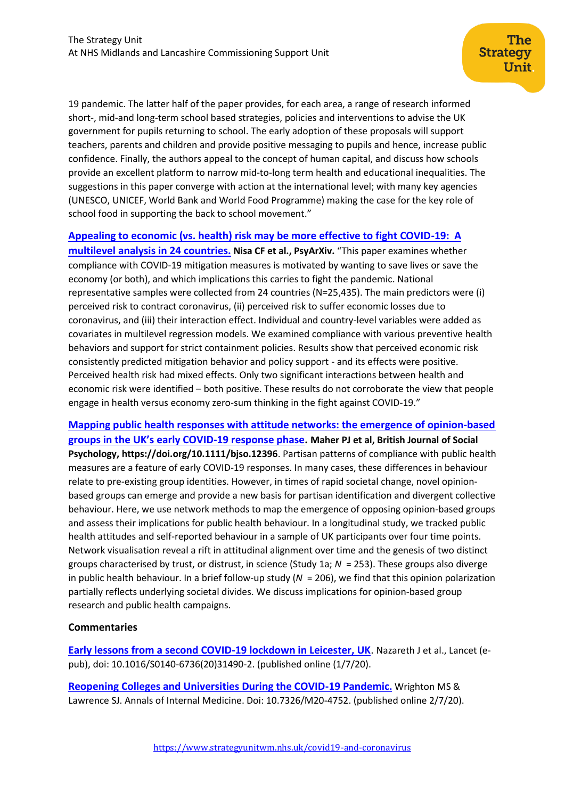19 pandemic. The latter half of the paper provides, for each area, a range of research informed short-, mid-and long-term school based strategies, policies and interventions to advise the UK government for pupils returning to school. The early adoption of these proposals will support teachers, parents and children and provide positive messaging to pupils and hence, increase public confidence. Finally, the authors appeal to the concept of human capital, and discuss how schools provide an excellent platform to narrow mid-to-long term health and educational inequalities. The suggestions in this paper converge with action at the international level; with many key agencies (UNESCO, UNICEF, World Bank and World Food Programme) making the case for the key role of school food in supporting the back to school movement."

**[Appealing to economic \(vs. health\) risk may be more effective to fight COVID-19: A](https://psyarxiv.com/tkq5r/)** 

**[multilevel analysis in 24 countries.](https://psyarxiv.com/tkq5r/) Nisa CF et al., PsyArXiv.** "This paper examines whether compliance with COVID-19 mitigation measures is motivated by wanting to save lives or save the economy (or both), and which implications this carries to fight the pandemic. National representative samples were collected from 24 countries (N=25,435). The main predictors were (i) perceived risk to contract coronavirus, (ii) perceived risk to suffer economic losses due to coronavirus, and (iii) their interaction effect. Individual and country-level variables were added as covariates in multilevel regression models. We examined compliance with various preventive health behaviors and support for strict containment policies. Results show that perceived economic risk consistently predicted mitigation behavior and policy support - and its effects were positive. Perceived health risk had mixed effects. Only two significant interactions between health and economic risk were identified – both positive. These results do not corroborate the view that people engage in health versus economy zero-sum thinking in the fight against COVID-19."

**[Mapping public health responses with attitude networks: the emergence of opinion‐based](https://onlinelibrary.wiley.com/doi/full/10.1111/bjso.12396)  [groups in the UK's early COVID‐19 response phase](https://onlinelibrary.wiley.com/doi/full/10.1111/bjso.12396). Maher PJ et al, British Journal of Social Psychology,<https://doi.org/10.1111/bjso.12396>**. Partisan patterns of compliance with public health measures are a feature of early COVID‐19 responses. In many cases, these differences in behaviour relate to pre‐existing group identities. However, in times of rapid societal change, novel opinion‐ based groups can emerge and provide a new basis for partisan identification and divergent collective behaviour. Here, we use network methods to map the emergence of opposing opinion-based groups and assess their implications for public health behaviour. In a longitudinal study, we tracked public health attitudes and self-reported behaviour in a sample of UK participants over four time points. Network visualisation reveal a rift in attitudinal alignment over time and the genesis of two distinct groups characterised by trust, or distrust, in science (Study 1a; *N* = 253). These groups also diverge in public health behaviour. In a brief follow‐up study (*N* = 206), we find that this opinion polarization partially reflects underlying societal divides. We discuss implications for opinion‐based group research and public health campaigns.

#### **Commentaries**

**[Early lessons from a second COVID-19 lockdown in Leicester, UK](https://www.ncbi.nlm.nih.gov/pmc/articles/PMC7330565/)**. Nazareth J et al., Lancet (epub), doi: 10.1016/S0140-6736(20)31490-2. (published online (1/7/20).

**[Reopening Colleges and Universities During the COVID-19 Pandemic](https://www.acpjournals.org/doi/full/10.7326/M20-4752).** Wrighton MS & Lawrence SJ. Annals of Internal Medicine. Doi: 10.7326/M20-4752. (published online 2/7/20).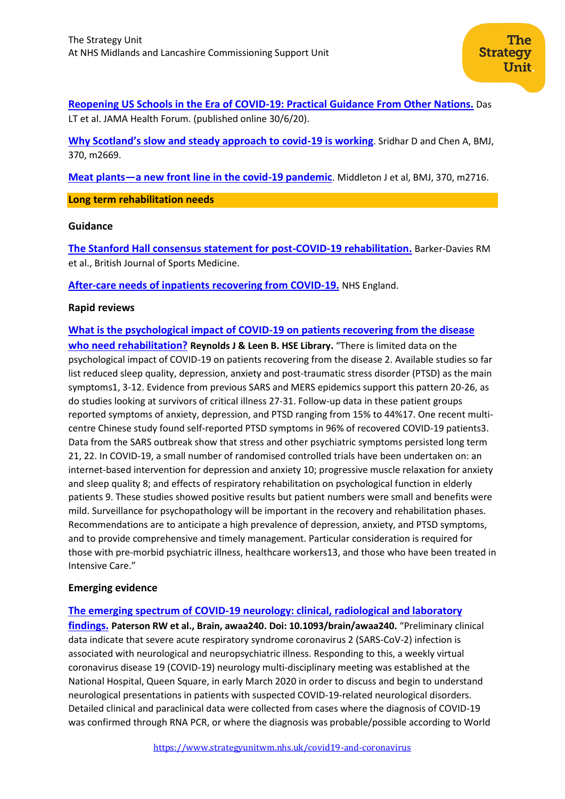**[Reopening US Schools in the Era of COVID-19: Practical Guidance From Other Nations.](https://jamanetwork.com/channels/health-forum/fullarticle/2767982)** Das LT et al. JAMA Health Forum. (published online 30/6/20).

**[Why Scotland's slow and steady approach to covid](https://www.bmj.com/content/370/bmj.m2669)-19 is working**. Sridhar D and Chen A, BMJ, 370, m2669.

**Meat plants—[a new front line in the covid-19 pandemic](https://www.bmj.com/content/370/bmj.m2716)**. Middleton J et al, BMJ, 370, m2716.

**Long term rehabilitation needs**

#### **Guidance**

**[The Stanford Hall consensus statement for post-COVID-19 rehabilitation.](https://bjsm.bmj.com/content/early/2020/05/31/bjsports-2020-102596)** Barker-Davies RM et al., British Journal of Sports Medicine.

**[After-care needs of inpatients](https://www.england.nhs.uk/coronavirus/wp-content/uploads/sites/52/2020/06/C0388-after-care-needs-of-inpatients-recovering-from-covid-19-5-june-2020-1.pdf) recovering from COVID-19.** NHS England.

#### **Rapid reviews**

**[What is the psychological impact of COVID-19 on patients recovering from the disease](https://hselibrary.ie/what-is-the-psychological-impact-of-covid-19-on-patients-recovering-from-the-disease-who-need-rehabilitation/)  [who need rehabilitation?](https://hselibrary.ie/what-is-the-psychological-impact-of-covid-19-on-patients-recovering-from-the-disease-who-need-rehabilitation/) Reynolds J & Leen B. HSE Library.** "There is limited data on the psychological impact of COVID-19 on patients recovering from the disease 2. Available studies so far list reduced sleep quality, depression, anxiety and post-traumatic stress disorder (PTSD) as the main symptoms1, 3-12. Evidence from previous SARS and MERS epidemics support this pattern 20-26, as do studies looking at survivors of critical illness 27-31. Follow-up data in these patient groups reported symptoms of anxiety, depression, and PTSD ranging from 15% to 44%17. One recent multicentre Chinese study found self-reported PTSD symptoms in 96% of recovered COVID-19 patients3. Data from the SARS outbreak show that stress and other psychiatric symptoms persisted long term 21, 22. In COVID-19, a small number of randomised controlled trials have been undertaken on: an internet-based intervention for depression and anxiety 10; progressive muscle relaxation for anxiety and sleep quality 8; and effects of respiratory rehabilitation on psychological function in elderly patients 9. These studies showed positive results but patient numbers were small and benefits were mild. Surveillance for psychopathology will be important in the recovery and rehabilitation phases. Recommendations are to anticipate a high prevalence of depression, anxiety, and PTSD symptoms, and to provide comprehensive and timely management. Particular consideration is required for those with pre-morbid psychiatric illness, healthcare workers13, and those who have been treated in Intensive Care."

#### **Emerging evidence**

#### **[The emerging spectrum of COVID-19 neurology: clinical, radiological and laboratory](https://academic.oup.com/brain/article/doi/10.1093/brain/awaa240/5868408#.XwV12blxBHw.email)**

**[findings.](https://academic.oup.com/brain/article/doi/10.1093/brain/awaa240/5868408#.XwV12blxBHw.email) Paterson RW et al., Brain, awaa240. Doi: 10.1093/brain/awaa240.** "Preliminary clinical data indicate that severe acute respiratory syndrome coronavirus 2 (SARS-CoV-2) infection is associated with neurological and neuropsychiatric illness. Responding to this, a weekly virtual coronavirus disease 19 (COVID-19) neurology multi-disciplinary meeting was established at the National Hospital, Queen Square, in early March 2020 in order to discuss and begin to understand neurological presentations in patients with suspected COVID-19-related neurological disorders. Detailed clinical and paraclinical data were collected from cases where the diagnosis of COVID-19 was confirmed through RNA PCR, or where the diagnosis was probable/possible according to World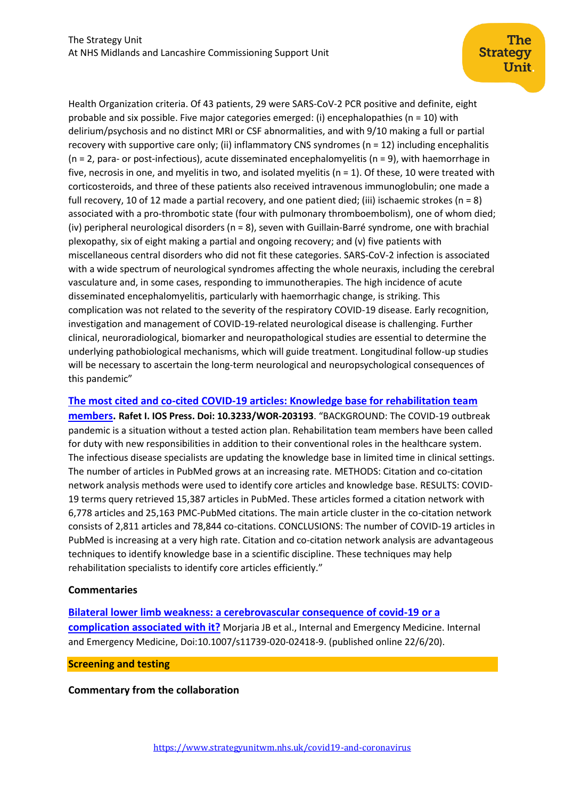Health Organization criteria. Of 43 patients, 29 were SARS-CoV-2 PCR positive and definite, eight probable and six possible. Five major categories emerged: (i) encephalopathies (n = 10) with delirium/psychosis and no distinct MRI or CSF abnormalities, and with 9/10 making a full or partial recovery with supportive care only; (ii) inflammatory CNS syndromes ( $n = 12$ ) including encephalitis (n = 2, para- or post-infectious), acute disseminated encephalomyelitis (n = 9), with haemorrhage in five, necrosis in one, and myelitis in two, and isolated myelitis ( $n = 1$ ). Of these, 10 were treated with corticosteroids, and three of these patients also received intravenous immunoglobulin; one made a full recovery, 10 of 12 made a partial recovery, and one patient died; (iii) ischaemic strokes (n = 8) associated with a pro-thrombotic state (four with pulmonary thromboembolism), one of whom died; (iv) peripheral neurological disorders (n = 8), seven with Guillain-Barré syndrome, one with brachial plexopathy, six of eight making a partial and ongoing recovery; and (v) five patients with miscellaneous central disorders who did not fit these categories. SARS-CoV-2 infection is associated with a wide spectrum of neurological syndromes affecting the whole neuraxis, including the cerebral vasculature and, in some cases, responding to immunotherapies. The high incidence of acute disseminated encephalomyelitis, particularly with haemorrhagic change, is striking. This complication was not related to the severity of the respiratory COVID-19 disease. Early recognition, investigation and management of COVID-19-related neurological disease is challenging. Further clinical, neuroradiological, biomarker and neuropathological studies are essential to determine the underlying pathobiological mechanisms, which will guide treatment. Longitudinal follow-up studies will be necessary to ascertain the long-term neurological and neuropsychological consequences of this pandemic"

**[The most cited and co-cited COVID-19 articles: Knowledge base for rehabilitation team](https://content.iospress.com/articles/work/wor203193)** 

**[members.](https://content.iospress.com/articles/work/wor203193) Rafet I. IOS Press. Doi: 10.3233/WOR-203193**. "BACKGROUND: The COVID-19 outbreak pandemic is a situation without a tested action plan. Rehabilitation team members have been called for duty with new responsibilities in addition to their conventional roles in the healthcare system. The infectious disease specialists are updating the knowledge base in limited time in clinical settings. The number of articles in PubMed grows at an increasing rate. METHODS: Citation and co-citation network analysis methods were used to identify core articles and knowledge base. RESULTS: COVID-19 terms query retrieved 15,387 articles in PubMed. These articles formed a citation network with 6,778 articles and 25,163 PMC-PubMed citations. The main article cluster in the co-citation network consists of 2,811 articles and 78,844 co-citations. CONCLUSIONS: The number of COVID-19 articles in PubMed is increasing at a very high rate. Citation and co-citation network analysis are advantageous techniques to identify knowledge base in a scientific discipline. These techniques may help rehabilitation specialists to identify core articles efficiently."

## **Commentaries**

**[Bilateral lower limb weakness: a cerebrovascular consequence of covid-19 or a](https://link.springer.com/content/pdf/10.1007/s11739-020-02418-9.pdf)  [complication associated with it?](https://link.springer.com/content/pdf/10.1007/s11739-020-02418-9.pdf)** Morjaria JB et al., Internal and Emergency Medicine. Internal and Emergency Medicine, Doi:10.1007/s11739-020-02418-9. (published online 22/6/20).

<span id="page-6-0"></span>**Screening and testing**

**Commentary from the collaboration**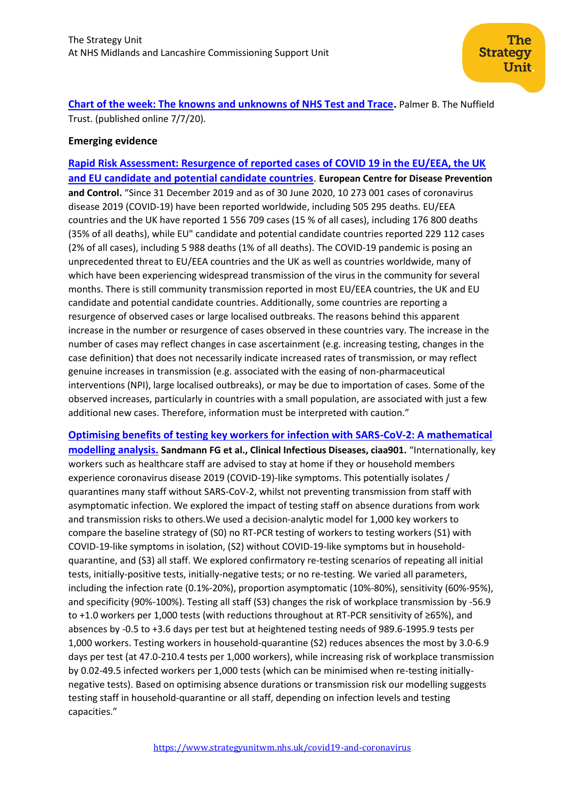**[Chart of the week: The knowns and unknowns of NHS Test and Trace.](https://www.nuffieldtrust.org.uk/resource/chart-of-the-week-the-knowns-and-unknowns-of-nhs-test-and-trace)** Palmer B. The Nuffield Trust. (published online 7/7/20).

## **Emerging evidence**

**[Rapid Risk Assessment: Resurgence of reported cases of COVID 19 in the EU/EEA, the UK](https://www.ecdc.europa.eu/en/publications-data/rapid-risk-assessment-resurgence-reported-cases-covid-19)  [and EU candidate and potential candidate countries](https://www.ecdc.europa.eu/en/publications-data/rapid-risk-assessment-resurgence-reported-cases-covid-19)**. **European Centre for Disease Prevention and Control.** "Since 31 December 2019 and as of 30 June 2020, 10 273 001 cases of coronavirus disease 2019 (COVID-19) have been reported worldwide, including 505 295 deaths. EU/EEA countries and the UK have reported 1 556 709 cases (15 % of all cases), including 176 800 deaths (35% of all deaths), while EU" candidate and potential candidate countries reported 229 112 cases (2% of all cases), including 5 988 deaths (1% of all deaths). The COVID-19 pandemic is posing an unprecedented threat to EU/EEA countries and the UK as well as countries worldwide, many of which have been experiencing widespread transmission of the virus in the community for several months. There is still community transmission reported in most EU/EEA countries, the UK and EU candidate and potential candidate countries. Additionally, some countries are reporting a resurgence of observed cases or large localised outbreaks. The reasons behind this apparent increase in the number or resurgence of cases observed in these countries vary. The increase in the number of cases may reflect changes in case ascertainment (e.g. increasing testing, changes in the case definition) that does not necessarily indicate increased rates of transmission, or may reflect genuine increases in transmission (e.g. associated with the easing of non-pharmaceutical interventions (NPI), large localised outbreaks), or may be due to importation of cases. Some of the observed increases, particularly in countries with a small population, are associated with just a few additional new cases. Therefore, information must be interpreted with caution."

**[Optimising benefits of testing key workers for infection with SARS-CoV-2: A mathematical](https://watermark.silverchair.com/ciaa901.pdf?token=AQECAHi208BE49Ooan9kkhW_Ercy7Dm3ZL_9Cf3qfKAc485ysgAAApwwggKYBgkqhkiG9w0BBwagggKJMIIChQIBADCCAn4GCSqGSIb3DQEHATAeBglghkgBZQMEAS4wEQQMkedSpmgX18xNSlC5AgEQgIICTy82nsvT-b4ccXN-HjQg1x67dEZqapHVkScFQ9uh9B-jX1_py1lnVmgu_r3G2Y_s8JQ_u87ZtIL0DUy2hN17hUtEXsSb-c9ZqrESW7SDNzaRUFxWg9TZuVVSoztEvyW4797k07WHJyNxtyC6RyA-K6m1HxHc0a5psuK8t1cgXxtMnNLqUKX29bHXAxDZPb9Zhowmdz9B33XD-WtTzqRPJihPmo6KYYTdhBtf0Ip1aU7rfL75b-yr4gbxfAtp0us7Gn_vg_qM2kFvlId-2knOOZf1h1ja2FgPrblRvf7aw_itnX11BsndYd1SLuPHIvSoQVabE1ikVCYALxMWKJnFMCFlrXyzmf02cZ5Y1tH5LcZQ_TgXw11jvVn8bjfgAEAOque8KPGNlwCx7Pao1cFKMs2UA767O3U40aasd2oiQZ2RUbKiHfDpNyxiIbvHGquFWvjqj8rHgAEFH39S_GJ6nibtnI3ykCNvt8uWgJDJlTi6iZK6X1RGTJaruuq542M-LOwOjefrRSy9keKfb3WGWj0ecC6KKScMtFXK0s-fKQA1vrXjK-GKWRW4SBarfDO3HNF63X8VBKa3SZq92EWAE-RQv0aNKzs9vbvKH32n6ooLQTGorqdmRNPFWyq87w4BbyIn_GWuPOTLaiYsyiGbA95dAMysSFIZuuC-L7uXKouIwZ7nMwxo4uX9SnQivBdE5_FwZBoCB5rd16TyPa22nTiHY_fgkCB3skx9BWUJjzm7Y5gPRVVAo2q4d-MV_kDKfbDh7B8XMe9A8whjw8T95Q) [modelling analysis.](https://watermark.silverchair.com/ciaa901.pdf?token=AQECAHi208BE49Ooan9kkhW_Ercy7Dm3ZL_9Cf3qfKAc485ysgAAApwwggKYBgkqhkiG9w0BBwagggKJMIIChQIBADCCAn4GCSqGSIb3DQEHATAeBglghkgBZQMEAS4wEQQMkedSpmgX18xNSlC5AgEQgIICTy82nsvT-b4ccXN-HjQg1x67dEZqapHVkScFQ9uh9B-jX1_py1lnVmgu_r3G2Y_s8JQ_u87ZtIL0DUy2hN17hUtEXsSb-c9ZqrESW7SDNzaRUFxWg9TZuVVSoztEvyW4797k07WHJyNxtyC6RyA-K6m1HxHc0a5psuK8t1cgXxtMnNLqUKX29bHXAxDZPb9Zhowmdz9B33XD-WtTzqRPJihPmo6KYYTdhBtf0Ip1aU7rfL75b-yr4gbxfAtp0us7Gn_vg_qM2kFvlId-2knOOZf1h1ja2FgPrblRvf7aw_itnX11BsndYd1SLuPHIvSoQVabE1ikVCYALxMWKJnFMCFlrXyzmf02cZ5Y1tH5LcZQ_TgXw11jvVn8bjfgAEAOque8KPGNlwCx7Pao1cFKMs2UA767O3U40aasd2oiQZ2RUbKiHfDpNyxiIbvHGquFWvjqj8rHgAEFH39S_GJ6nibtnI3ykCNvt8uWgJDJlTi6iZK6X1RGTJaruuq542M-LOwOjefrRSy9keKfb3WGWj0ecC6KKScMtFXK0s-fKQA1vrXjK-GKWRW4SBarfDO3HNF63X8VBKa3SZq92EWAE-RQv0aNKzs9vbvKH32n6ooLQTGorqdmRNPFWyq87w4BbyIn_GWuPOTLaiYsyiGbA95dAMysSFIZuuC-L7uXKouIwZ7nMwxo4uX9SnQivBdE5_FwZBoCB5rd16TyPa22nTiHY_fgkCB3skx9BWUJjzm7Y5gPRVVAo2q4d-MV_kDKfbDh7B8XMe9A8whjw8T95Q) Sandmann FG et al., Clinical Infectious Diseases, ciaa901.** "Internationally, key workers such as healthcare staff are advised to stay at home if they or household members experience coronavirus disease 2019 (COVID-19)-like symptoms. This potentially isolates / quarantines many staff without SARS-CoV-2, whilst not preventing transmission from staff with asymptomatic infection. We explored the impact of testing staff on absence durations from work and transmission risks to others.We used a decision-analytic model for 1,000 key workers to compare the baseline strategy of (S0) no RT-PCR testing of workers to testing workers (S1) with COVID-19-like symptoms in isolation, (S2) without COVID-19-like symptoms but in householdquarantine, and (S3) all staff. We explored confirmatory re-testing scenarios of repeating all initial tests, initially-positive tests, initially-negative tests; or no re-testing. We varied all parameters, including the infection rate (0.1%-20%), proportion asymptomatic (10%-80%), sensitivity (60%-95%), and specificity (90%-100%). Testing all staff (S3) changes the risk of workplace transmission by -56.9 to +1.0 workers per 1,000 tests (with reductions throughout at RT-PCR sensitivity of ≥65%), and absences by -0.5 to +3.6 days per test but at heightened testing needs of 989.6-1995.9 tests per 1,000 workers. Testing workers in household-quarantine (S2) reduces absences the most by 3.0-6.9 days per test (at 47.0-210.4 tests per 1,000 workers), while increasing risk of workplace transmission by 0.02-49.5 infected workers per 1,000 tests (which can be minimised when re-testing initiallynegative tests). Based on optimising absence durations or transmission risk our modelling suggests testing staff in household-quarantine or all staff, depending on infection levels and testing capacities."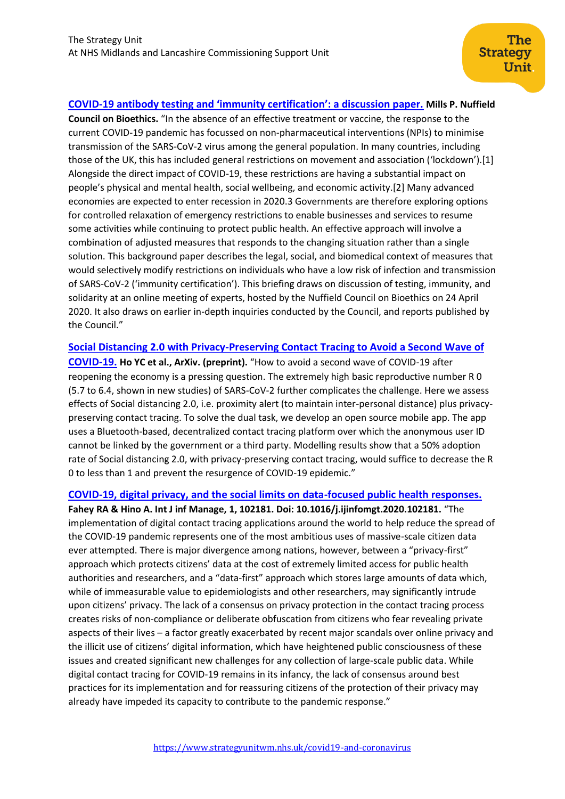## **COVID-[19 antibody testing and 'immunity certification': a discussion paper.](https://www.nuffieldbioethics.org/assets/pdfs/Discussion-paper-COVID-19-antibody-testing-and-immunity-certification.pdf) Mills P. Nuffield**

**Council on Bioethics.** "In the absence of an effective treatment or vaccine, the response to the current COVID-19 pandemic has focussed on non-pharmaceutical interventions (NPIs) to minimise transmission of the SARS-CoV-2 virus among the general population. In many countries, including those of the UK, this has included general restrictions on movement and association ('lockdown').[1] Alongside the direct impact of COVID-19, these restrictions are having a substantial impact on people's physical and mental health, social wellbeing, and economic activity.[2] Many advanced economies are expected to enter recession in 2020.3 Governments are therefore exploring options for controlled relaxation of emergency restrictions to enable businesses and services to resume some activities while continuing to protect public health. An effective approach will involve a combination of adjusted measures that responds to the changing situation rather than a single solution. This background paper describes the legal, social, and biomedical context of measures that would selectively modify restrictions on individuals who have a low risk of infection and transmission of SARS-CoV-2 ('immunity certification'). This briefing draws on discussion of testing, immunity, and solidarity at an online meeting of experts, hosted by the Nuffield Council on Bioethics on 24 April 2020. It also draws on earlier in-depth inquiries conducted by the Council, and reports published by the Council."

**[Social Distancing 2.0 with Privacy-Preserving Contact Tracing to Avoid a Second Wave of](https://arxiv.org/pdf/2006.16611.pdf)  [COVID-19.](https://arxiv.org/pdf/2006.16611.pdf) Ho YC et al., ArXiv. (preprint).** "How to avoid a second wave of COVID-19 after reopening the economy is a pressing question. The extremely high basic reproductive number R 0 (5.7 to 6.4, shown in new studies) of SARS-CoV-2 further complicates the challenge. Here we assess effects of Social distancing 2.0, i.e. proximity alert (to maintain inter-personal distance) plus privacypreserving contact tracing. To solve the dual task, we develop an open source mobile app. The app uses a Bluetooth-based, decentralized contact tracing platform over which the anonymous user ID cannot be linked by the government or a third party. Modelling results show that a 50% adoption rate of Social distancing 2.0, with privacy-preserving contact tracing, would suffice to decrease the R 0 to less than 1 and prevent the resurgence of COVID-19 epidemic."

#### **[COVID-19, digital privacy, and the social limits on data-focused public health responses.](https://www.ncbi.nlm.nih.gov/pmc/articles/PMC7328565/)**

**Fahey RA & Hino A. Int J inf Manage, 1, 102181. Doi: 10.1016/j.ijinfomgt.2020.102181.** "The implementation of digital contact tracing applications around the world to help reduce the spread of the COVID-19 pandemic represents one of the most ambitious uses of massive-scale citizen data ever attempted. There is major divergence among nations, however, between a "privacy-first" approach which protects citizens' data at the cost of extremely limited access for public health authorities and researchers, and a "data-first" approach which stores large amounts of data which, while of immeasurable value to epidemiologists and other researchers, may significantly intrude upon citizens' privacy. The lack of a consensus on privacy protection in the contact tracing process creates risks of non-compliance or deliberate obfuscation from citizens who fear revealing private aspects of their lives – a factor greatly exacerbated by recent major scandals over online privacy and the illicit use of citizens' digital information, which have heightened public consciousness of these issues and created significant new challenges for any collection of large-scale public data. While digital contact tracing for COVID-19 remains in its infancy, the lack of consensus around best practices for its implementation and for reassuring citizens of the protection of their privacy may already have impeded its capacity to contribute to the pandemic response."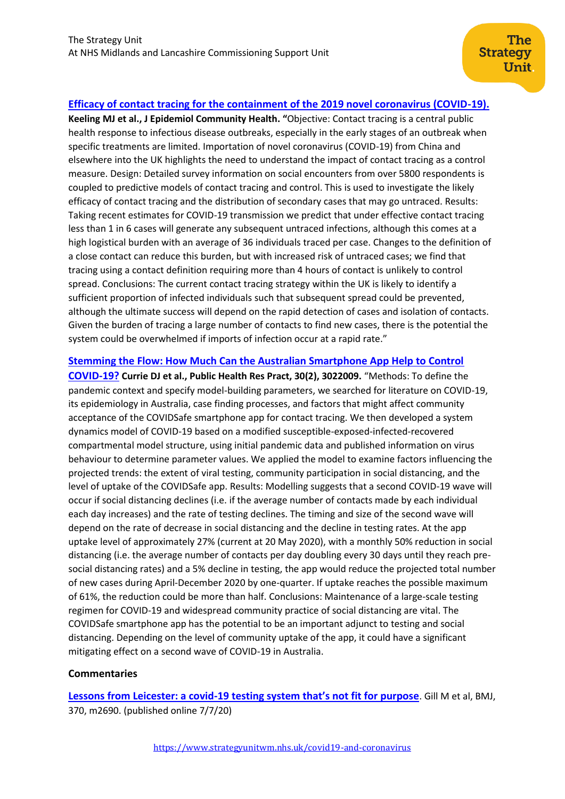## **[Efficacy of contact tracing for the containment of the 2019 novel coronavirus \(COVID-19\).](https://jech.bmj.com/content/jech/early/2020/06/16/jech-2020-214051.full.pdf)**

**Keeling MJ et al., J Epidemiol Community Health. "**Objective: Contact tracing is a central public health response to infectious disease outbreaks, especially in the early stages of an outbreak when specific treatments are limited. Importation of novel coronavirus (COVID-19) from China and elsewhere into the UK highlights the need to understand the impact of contact tracing as a control measure. Design: Detailed survey information on social encounters from over 5800 respondents is coupled to predictive models of contact tracing and control. This is used to investigate the likely efficacy of contact tracing and the distribution of secondary cases that may go untraced. Results: Taking recent estimates for COVID-19 transmission we predict that under effective contact tracing less than 1 in 6 cases will generate any subsequent untraced infections, although this comes at a high logistical burden with an average of 36 individuals traced per case. Changes to the definition of a close contact can reduce this burden, but with increased risk of untraced cases; we find that tracing using a contact definition requiring more than 4 hours of contact is unlikely to control spread. Conclusions: The current contact tracing strategy within the UK is likely to identify a sufficient proportion of infected individuals such that subsequent spread could be prevented, although the ultimate success will depend on the rapid detection of cases and isolation of contacts. Given the burden of tracing a large number of contacts to find new cases, there is the potential the system could be overwhelmed if imports of infection occur at a rapid rate."

## **[Stemming the Flow: How Much Can the Australian Smartphone App Help to Control](https://pubmed.ncbi.nlm.nih.gov/32601652/)**

**[COVID-19?](https://pubmed.ncbi.nlm.nih.gov/32601652/) Currie DJ et al., Public Health Res Pract, 30(2), 3022009.** "Methods: To define the pandemic context and specify model-building parameters, we searched for literature on COVID-19, its epidemiology in Australia, case finding processes, and factors that might affect community acceptance of the COVIDSafe smartphone app for contact tracing. We then developed a system dynamics model of COVID-19 based on a modified susceptible-exposed-infected-recovered compartmental model structure, using initial pandemic data and published information on virus behaviour to determine parameter values. We applied the model to examine factors influencing the projected trends: the extent of viral testing, community participation in social distancing, and the level of uptake of the COVIDSafe app. Results: Modelling suggests that a second COVID-19 wave will occur if social distancing declines (i.e. if the average number of contacts made by each individual each day increases) and the rate of testing declines. The timing and size of the second wave will depend on the rate of decrease in social distancing and the decline in testing rates. At the app uptake level of approximately 27% (current at 20 May 2020), with a monthly 50% reduction in social distancing (i.e. the average number of contacts per day doubling every 30 days until they reach presocial distancing rates) and a 5% decline in testing, the app would reduce the projected total number of new cases during April-December 2020 by one-quarter. If uptake reaches the possible maximum of 61%, the reduction could be more than half. Conclusions: Maintenance of a large-scale testing regimen for COVID-19 and widespread community practice of social distancing are vital. The COVIDSafe smartphone app has the potential to be an important adjunct to testing and social distancing. Depending on the level of community uptake of the app, it could have a significant mitigating effect on a second wave of COVID-19 in Australia.

#### **Commentaries**

**Lessons from Leicester: a covid-[19 testing system that's not fit for purpose](https://www.bmj.com/content/370/bmj.m2690)**. Gill M et al, BMJ, 370, m2690. (published online 7/7/20)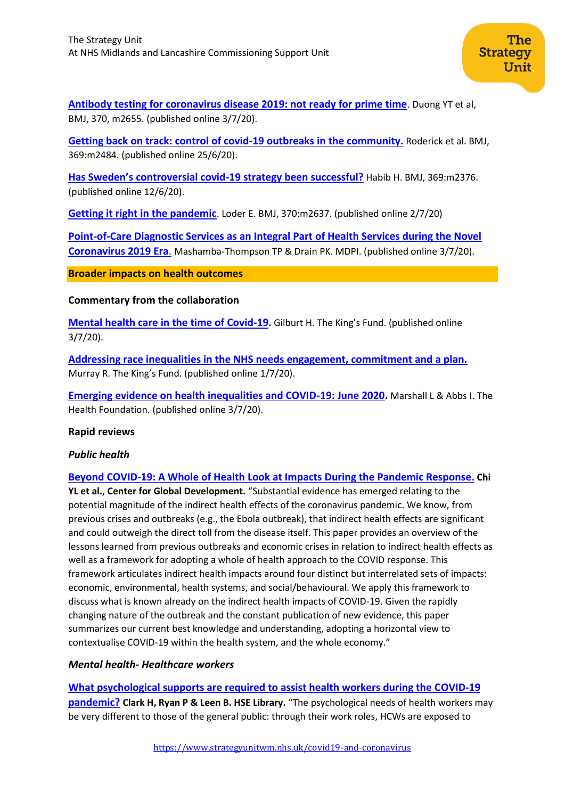**[Antibody testing for coronavirus disease 2019: not ready for prime time](https://www.bmj.com/content/370/bmj.m2655)**. Duong YT et al, BMJ, 370, m2655. (published online 3/7/20).

**[Getting back on track: control of covid-19 outbreaks in the community.](https://www.bmj.com/content/369/bmj.m2484?utm_source=etoc&utm_medium=email&utm_campaign=tbmj&utm_content=weekly&utm_term=20200703)** Roderick et al. BMJ, 369:m2484. (published online 25/6/20).

**[Has Sweden's controversial covid](https://www.bmj.com/content/369/bmj.m2376?utm_source=etoc&utm_medium=email&utm_campaign=tbmj&utm_content=weekly&utm_term=20200703)-19 strategy been successful?** Habib H. BMJ, 369:m2376. (published online 12/6/20).

**[Getting it right in the pandemic](https://www.bmj.com/content/370/bmj.m2637.full)**. Loder E. BMJ, 370:m2637. (published online 2/7/20)

<span id="page-10-0"></span>**[Point-of-Care Diagnostic Services as an Integral Part of Health Services during the Novel](https://www.mdpi.com/2075-4418/10/7/449/htm)  [Coronavirus 2019 Era](https://www.mdpi.com/2075-4418/10/7/449/htm)**. Mashamba-Thompson TP & Drain PK. MDPI. (published online 3/7/20).

**Broader impacts on health outcomes**

**Commentary from the collaboration**

**[Mental health care in the time of Covid-19](https://www.kingsfund.org.uk/blog/2020/07/mental-health-care-time-covid-19?utm_source=The%20King%27s%20Fund%20newsletters%20%28main%20account%29&utm_medium=email&utm_campaign=11653409_NEWSL_The%20Weekly%20Update%202020-07-02&utm_content=mental_health_blog_picture&dm_i=21A8,6XRTT,FLX5Q6,RWHXB,1).** Gilburt H. The King's Fund. (published online 3/7/20).

**[Addressing race inequalities in the NHS needs engagement, commitment and a plan.](https://www.kingsfund.org.uk/blog/2020/07/addressing-race-inequalities-nhs?utm_source=The%20King%27s%20Fund%20newsletters%20%28main%20account%29&utm_medium=email&utm_campaign=11653409_NEWSL_The%20Weekly%20Update%202020-07-02&utm_content=racism_nhs_blog_button&dm_i=21A8,6XRTT,FLX5Q6,RWHXB,1)** Murray R. The King's Fund. (published online 1/7/20).

**[Emerging evidence on health inequalities and COVID-19: June 2020.](https://www.health.org.uk/news-and-comment/blogs/emerging-evidence-on-health-inequalities-and-covid-19-june-2020)** Marshall L & Abbs I. The Health Foundation. (published online 3/7/20).

## **Rapid reviews**

## *Public health*

**[Beyond COVID-19: A Whole of Health Look at Impacts During the Pandemic Response](https://www.cgdev.org/sites/default/files/PP177-Beyond-COVID-scoping-paper.pdf). Chi YL et al., Center for Global Development.** "Substantial evidence has emerged relating to the potential magnitude of the indirect health effects of the coronavirus pandemic. We know, from previous crises and outbreaks (e.g., the Ebola outbreak), that indirect health effects are significant and could outweigh the direct toll from the disease itself. This paper provides an overview of the lessons learned from previous outbreaks and economic crises in relation to indirect health effects as well as a framework for adopting a whole of health approach to the COVID response. This framework articulates indirect health impacts around four distinct but interrelated sets of impacts: economic, environmental, health systems, and social/behavioural. We apply this framework to discuss what is known already on the indirect health impacts of COVID-19. Given the rapidly changing nature of the outbreak and the constant publication of new evidence, this paper summarizes our current best knowledge and understanding, adopting a horizontal view to contextualise COVID-19 within the health system, and the whole economy."

## *Mental health- Healthcare workers*

**[What psychological supports are required to assist health workers during the COVID-19](https://hselibrary.ie/what-psychological-supports-are-required-to-assist-health-workers-during-the-covid-19-pandemic/)  [pandemic?](https://hselibrary.ie/what-psychological-supports-are-required-to-assist-health-workers-during-the-covid-19-pandemic/) Clark H, Ryan P & Leen B. HSE Library.** "The psychological needs of health workers may be very different to those of the general public: through their work roles, HCWs are exposed to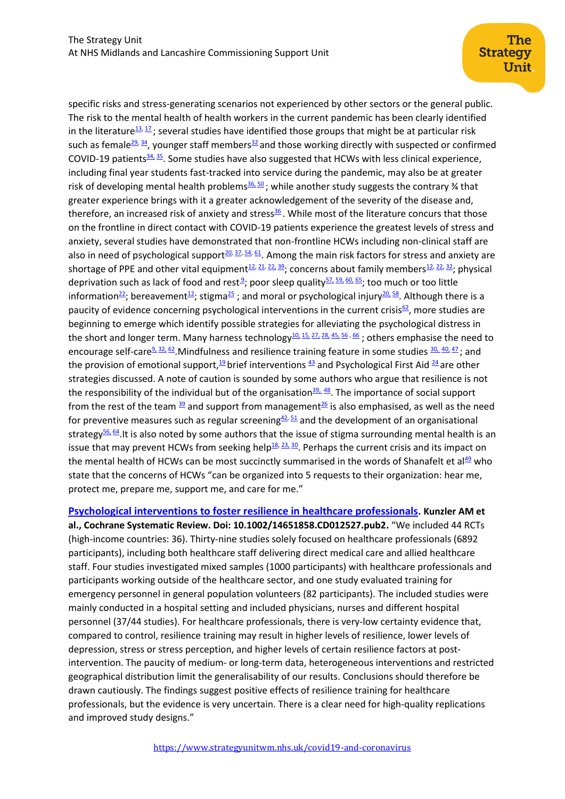specific risks and stress-generating scenarios not experienced by other sectors or the general public. The risk to the mental health of health workers in the current pandemic has been clearly identified in the literature<sup>[13,](https://hselibrary.ie/what-psychological-supports-are-required-to-assist-health-workers-during-the-covid-19-pandemic/#Cao) [17](https://hselibrary.ie/what-psychological-supports-are-required-to-assist-health-workers-during-the-covid-19-pandemic/#Choudhury)</sup>; several studies have identified those groups that might be at particular risk such as female<sup>[29,](https://hselibrary.ie/what-psychological-supports-are-required-to-assist-health-workers-during-the-covid-19-pandemic/#Huang) [34](https://hselibrary.ie/what-psychological-supports-are-required-to-assist-health-workers-during-the-covid-19-pandemic/#Lai)</sup>, younger staff members<sup>[32](https://hselibrary.ie/what-psychological-supports-are-required-to-assist-health-workers-during-the-covid-19-pandemic/#Kisely)</sup> and those working directly with suspected or confirmed COVID-19 patients $34.35$  $34.35$ . Some studies have also suggested that HCWs with less clinical experience, including final year students fast-tracked into service during the pandemic, may also be at greater risk of developing mental health problems $\frac{36}{6}$ , while another study suggests the contrary % that greater experience brings with it a greater acknowledgement of the severity of the disease and, therefore, an increased risk of anxiety and stress $36$ . While most of the literature concurs that those on the frontline in direct contact with COVID-19 patients experience the greatest levels of stress and anxiety, several studies have demonstrated that non-frontline HCWs including non-clinical staff are also in need of psychological support<sup>[20,](https://hselibrary.ie/what-psychological-supports-are-required-to-assist-health-workers-during-the-covid-19-pandemic/#DE) [37,](https://hselibrary.ie/what-psychological-supports-are-required-to-assist-health-workers-during-the-covid-19-pandemic/#LIZ) [54,](https://hselibrary.ie/what-psychological-supports-are-required-to-assist-health-workers-during-the-covid-19-pandemic/#TAN) [61](https://hselibrary.ie/what-psychological-supports-are-required-to-assist-health-workers-during-the-covid-19-pandemic/#WUY)</sup>. Among the main risk factors for stress and anxiety are shortage of PPE and other vital equipment<sup>[12,](https://hselibrary.ie/what-psychological-supports-are-required-to-assist-health-workers-during-the-covid-19-pandemic/#CAL) [21,](https://hselibrary.ie/what-psychological-supports-are-required-to-assist-health-workers-during-the-covid-19-pandemic/#DU) [22,](https://hselibrary.ie/what-psychological-supports-are-required-to-assist-health-workers-during-the-covid-19-pandemic/#EL) [39](https://hselibrary.ie/what-psychological-supports-are-required-to-assist-health-workers-during-the-covid-19-pandemic/#MARBEN)</sup>; concerns about family members<sup>12, 22, [32](https://hselibrary.ie/what-psychological-supports-are-required-to-assist-health-workers-during-the-covid-19-pandemic/#Kisely)</sup>; physical depriva[t](https://hselibrary.ie/what-psychological-supports-are-required-to-assist-health-workers-during-the-covid-19-pandemic/#ALIKHANI)ion such as lack of food and rest<sup>9</sup>; poor sleep quality<sup>[57,](https://hselibrary.ie/what-psychological-supports-are-required-to-assist-health-workers-during-the-covid-19-pandemic/#WANGS) [59,](https://hselibrary.ie/what-psychological-supports-are-required-to-assist-health-workers-during-the-covid-19-pandemic/#wu) [60,](https://hselibrary.ie/what-psychological-supports-are-required-to-assist-health-workers-during-the-covid-19-pandemic/#XIAO) [65](https://hselibrary.ie/what-psychological-supports-are-required-to-assist-health-workers-during-the-covid-19-pandemic/#ZHANGC)</sup>; too much or too little information<sup>[22](https://hselibrary.ie/what-psychological-supports-are-required-to-assist-health-workers-during-the-covid-19-pandemic/#EL)</sup>; bereavement<sup>[12](https://hselibrary.ie/what-psychological-supports-are-required-to-assist-health-workers-during-the-covid-19-pandemic/#CAIH)</sup>; stigma<sup>[25](https://hselibrary.ie/what-psychological-supports-are-required-to-assist-health-workers-during-the-covid-19-pandemic/#GHEBREYESUS)</sup>; and moral or psychological injury<sup>[20,](https://hselibrary.ie/what-psychological-supports-are-required-to-assist-health-workers-during-the-covid-19-pandemic/#DEPIERRO) [58](https://hselibrary.ie/what-psychological-supports-are-required-to-assist-health-workers-during-the-covid-19-pandemic/#WILLIAMS)</sup>. Although there is a paucity of evidence concerning psychological interventions in the current crisis $62$ , more studies are beginning to emerge which identify possible strategies for alleviating the psychological distress in the short and longer term. Many harness technology<sup>[10,](https://hselibrary.ie/what-psychological-supports-are-required-to-assist-health-workers-during-the-covid-19-pandemic/#BADAHDAH) [15,](https://hselibrary.ie/what-psychological-supports-are-required-to-assist-health-workers-during-the-covid-19-pandemic/#CHENGP) [27,](https://hselibrary.ie/what-psychological-supports-are-required-to-assist-health-workers-during-the-covid-19-pandemic/#HUX) [28,](https://hselibrary.ie/what-psychological-supports-are-required-to-assist-health-workers-during-the-covid-19-pandemic/#HUANGJ) [45,](https://hselibrary.ie/what-psychological-supports-are-required-to-assist-health-workers-during-the-covid-19-pandemic/#ROMERO) [56](https://hselibrary.ie/what-psychological-supports-are-required-to-assist-health-workers-during-the-covid-19-pandemic/#WALTON)</sup>, [66](https://hselibrary.ie/what-psychological-supports-are-required-to-assist-health-workers-during-the-covid-19-pandemic/#ZHANGJ); others emphasise the need to encourage self-care<sup>[9,](https://hselibrary.ie/what-psychological-supports-are-required-to-assist-health-workers-during-the-covid-19-pandemic/#ALIKHANI) [32,](https://hselibrary.ie/what-psychological-supports-are-required-to-assist-health-workers-during-the-covid-19-pandemic/#Kisely) [62](https://hselibrary.ie/what-psychological-supports-are-required-to-assist-health-workers-during-the-covid-19-pandemic/#YANGL)</sup>. Mindfulness and resilience training feature in some studies  $\frac{30}{20}$ ,  $\frac{40}{2}$ , and the provision of emotional support, $19$  brief interventions  $43$  and Psychological First Aid  $24$  are other strategies discussed. A note of caution is sounded by some authors who argue that resilience is not the responsibility of the individual but of the organisation<sup>[39,](https://hselibrary.ie/what-psychological-supports-are-required-to-assist-health-workers-during-the-covid-19-pandemic/#MABEN) [48](https://hselibrary.ie/what-psychological-supports-are-required-to-assist-health-workers-during-the-covid-19-pandemic/#SELMAN)</sup>. The importance of social support from the rest of the team  $\frac{39}{2}$  $\frac{39}{2}$  $\frac{39}{2}$  and support from management<sup>[26](https://hselibrary.ie/what-psychological-supports-are-required-to-assist-health-workers-during-the-covid-19-pandemic/#GREENBERG)</sup> is also emphasised, as well as the need for preventive measures such as regular screening  $42,51$  $42,51$  and the development of an organisational strategy<sup>[56,](https://hselibrary.ie/what-psychological-supports-are-required-to-assist-health-workers-during-the-covid-19-pandemic/#WALTON) [64](https://hselibrary.ie/what-psychological-supports-are-required-to-assist-health-workers-during-the-covid-19-pandemic/#ZAKA)</sup>. It is also noted by some authors that the issue of stigma surrounding mental health is an issue that may prevent HCWs from seeking help $^{18, 23, 30}$  $^{18, 23, 30}$  $^{18, 23, 30}$  $^{18, 23, 30}$  $^{18, 23, 30}$  $^{18, 23, 30}$  $^{18, 23, 30}$ . Perhaps the current crisis and its impact on the mental health of HCWs can be most succinctly summarised in the words of Shanafelt et al<sup>[49](https://hselibrary.ie/what-psychological-supports-are-required-to-assist-health-workers-during-the-covid-19-pandemic/#shanafelt)</sup> who state that the concerns of HCWs "can be organized into 5 requests to their organization: hear me, protect me, prepare me, support me, and care for me."

**[Psychological interventions to foster resilience in healthcare professionals](https://www.cochranelibrary.com/cdsr/doi/10.1002/14651858.CD012527.pub2/full). Kunzler AM et** 

**al., Cochrane Systematic Review. Doi: 10.1002/14651858.CD012527.pub2.** "We included 44 RCTs (high‐income countries: 36). Thirty‐nine studies solely focused on healthcare professionals (6892 participants), including both healthcare staff delivering direct medical care and allied healthcare staff. Four studies investigated mixed samples (1000 participants) with healthcare professionals and participants working outside of the healthcare sector, and one study evaluated training for emergency personnel in general population volunteers (82 participants). The included studies were mainly conducted in a hospital setting and included physicians, nurses and different hospital personnel (37/44 studies). For healthcare professionals, there is very-low certainty evidence that, compared to control, resilience training may result in higher levels of resilience, lower levels of depression, stress or stress perception, and higher levels of certain resilience factors at post‐ intervention. The paucity of medium‐ or long‐term data, heterogeneous interventions and restricted geographical distribution limit the generalisability of our results. Conclusions should therefore be drawn cautiously. The findings suggest positive effects of resilience training for healthcare professionals, but the evidence is very uncertain. There is a clear need for high‐quality replications and improved study designs."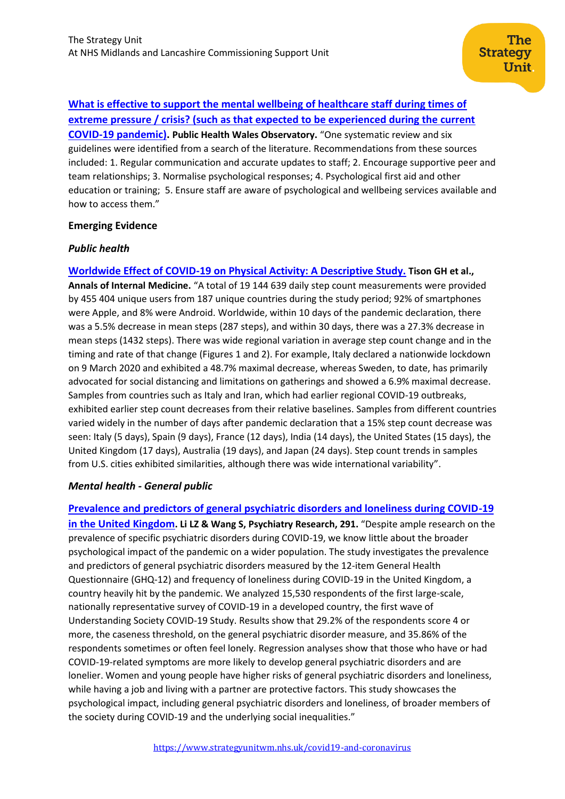**[What is effective to support the mental wellbeing of healthcare staff during times of](http://www2.nphs.wales.nhs.uk:8080/PubHObservatoryProjDocs.nsf/85c50756737f79ac80256f2700534ea3/a2e2ebe4d87fd47c8025855f003a454c/$FILE/Mental%20wellbeing%20in%20older%20people%20rapid%20response%20FINAL.pdf) [extreme pressure / crisis? \(such as that expected to be experienced during the current](http://www2.nphs.wales.nhs.uk:8080/PubHObservatoryProjDocs.nsf/85c50756737f79ac80256f2700534ea3/a2e2ebe4d87fd47c8025855f003a454c/$FILE/Mental%20wellbeing%20in%20older%20people%20rapid%20response%20FINAL.pdf)  [COVID-19 pandemic\).](http://www2.nphs.wales.nhs.uk:8080/PubHObservatoryProjDocs.nsf/85c50756737f79ac80256f2700534ea3/a2e2ebe4d87fd47c8025855f003a454c/$FILE/Mental%20wellbeing%20in%20older%20people%20rapid%20response%20FINAL.pdf) Public Health Wales Observatory.** "One systematic review and six guidelines were identified from a search of the literature. Recommendations from these sources included: 1. Regular communication and accurate updates to staff; 2. Encourage supportive peer and team relationships; 3. Normalise psychological responses; 4. Psychological first aid and other education or training; 5. Ensure staff are aware of psychological and wellbeing services available and how to access them."

## **Emerging Evidence**

## *Public health*

**[Worldwide Effect of COVID-19 on Physical Activity: A Descriptive Study.](https://www.acpjournals.org/doi/full/10.7326/M20-2665) Tison GH et al., Annals of Internal Medicine.** "A total of 19 144 639 daily step count measurements were provided by 455 404 unique users from 187 unique countries during the study period; 92% of smartphones were Apple, and 8% were Android. Worldwide, within 10 days of the pandemic declaration, there was a 5.5% decrease in mean steps (287 steps), and within 30 days, there was a 27.3% decrease in mean steps (1432 steps). There was wide regional variation in average step count change and in the timing and rate of that change (Figures 1 and 2). For example, Italy declared a nationwide lockdown on 9 March 2020 and exhibited a 48.7% maximal decrease, whereas Sweden, to date, has primarily advocated for social distancing and limitations on gatherings and showed a 6.9% maximal decrease. Samples from countries such as Italy and Iran, which had earlier regional COVID-19 outbreaks, exhibited earlier step count decreases from their relative baselines. Samples from different countries varied widely in the number of days after pandemic declaration that a 15% step count decrease was seen: Italy (5 days), Spain (9 days), France (12 days), India (14 days), the United States (15 days), the United Kingdom (17 days), Australia (19 days), and Japan (24 days). Step count trends in samples from U.S. cities exhibited similarities, although there was wide international variability".

## *Mental health - General public*

**[Prevalence and predictors of general psychiatric disorders and loneliness during COVID-19](https://www.sciencedirect.com/science/article/pii/S0165178120317479?via%3Dihub)  [in the United Kingdom](https://www.sciencedirect.com/science/article/pii/S0165178120317479?via%3Dihub). Li LZ & Wang S, Psychiatry Research, 291.** "Despite ample research on the prevalence of specific psychiatric disorders during COVID-19, we know little about the broader psychological impact of the pandemic on a wider population. The study investigates the prevalence and predictors of general psychiatric disorders measured by the 12-item General Health Questionnaire (GHQ-12) and frequency of loneliness during COVID-19 in the United Kingdom, a country heavily hit by the pandemic. We analyzed 15,530 respondents of the first large-scale, nationally representative survey of COVID-19 in a developed country, the first wave of Understanding Society COVID-19 Study. Results show that 29.2% of the respondents score 4 or more, the caseness threshold, on the general psychiatric disorder measure, and 35.86% of the respondents sometimes or often feel lonely. Regression analyses show that those who have or had COVID-19-related symptoms are more likely to develop general psychiatric disorders and are lonelier. Women and young people have higher risks of general psychiatric disorders and loneliness, while having a job and living with a partner are protective factors. This study showcases the psychological impact, including general psychiatric disorders and loneliness, of broader members of the society during COVID-19 and the underlying social inequalities."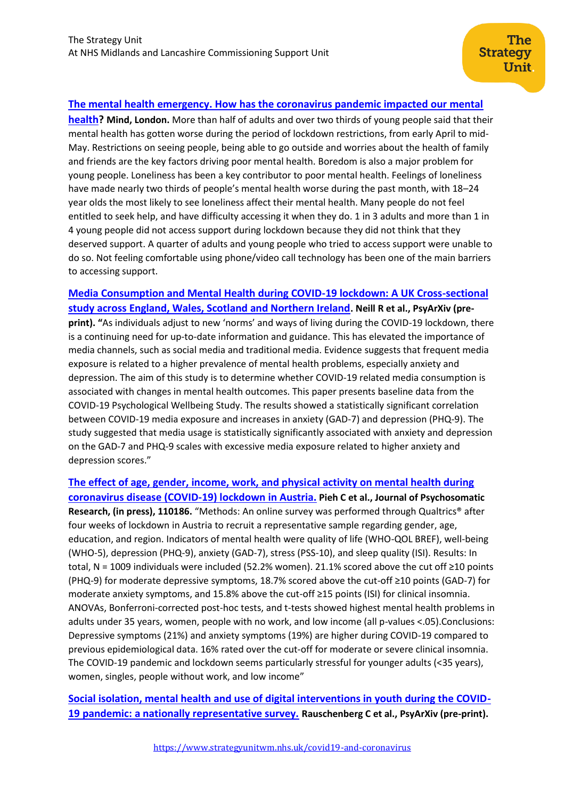## **[The mental health emergency. How has the coronavirus pandemic impacted our mental](https://www.mind.org.uk/media-a/5929/the-mental-health-emergency_a4_final.pdf?utm_source=The%20King%27s%20Fund%20newsletters%20%28main%20account%29&utm_medium=email&utm_campaign=11652797_NEWSL_HMP%202020-07-07&dm_i=21A8,6XRCT,FLX5Q6,RWPTA,1)**

**[health?](https://www.mind.org.uk/media-a/5929/the-mental-health-emergency_a4_final.pdf?utm_source=The%20King%27s%20Fund%20newsletters%20%28main%20account%29&utm_medium=email&utm_campaign=11652797_NEWSL_HMP%202020-07-07&dm_i=21A8,6XRCT,FLX5Q6,RWPTA,1) Mind, London.** More than half of adults and over two thirds of young people said that their mental health has gotten worse during the period of lockdown restrictions, from early April to mid-May. Restrictions on seeing people, being able to go outside and worries about the health of family and friends are the key factors driving poor mental health. Boredom is also a major problem for young people. Loneliness has been a key contributor to poor mental health. Feelings of loneliness have made nearly two thirds of people's mental health worse during the past month, with 18–24 year olds the most likely to see loneliness affect their mental health. Many people do not feel entitled to seek help, and have difficulty accessing it when they do. 1 in 3 adults and more than 1 in 4 young people did not access support during lockdown because they did not think that they deserved support. A quarter of adults and young people who tried to access support were unable to do so. Not feeling comfortable using phone/video call technology has been one of the main barriers to accessing support.

# **[Media Consumption and Mental Health during COVID-19 lockdown: A UK Cross-sectional](https://psyarxiv.com/5d9fc/)  [study across England, Wales, Scotland and Northern Ireland](https://psyarxiv.com/5d9fc/). Neill R et al., PsyArXiv (pre-**

**print). "**As individuals adjust to new 'norms' and ways of living during the COVID-19 lockdown, there is a continuing need for up-to-date information and guidance. This has elevated the importance of media channels, such as social media and traditional media. Evidence suggests that frequent media exposure is related to a higher prevalence of mental health problems, especially anxiety and depression. The aim of this study is to determine whether COVID-19 related media consumption is associated with changes in mental health outcomes. This paper presents baseline data from the COVID-19 Psychological Wellbeing Study. The results showed a statistically significant correlation between COVID-19 media exposure and increases in anxiety (GAD-7) and depression (PHQ-9). The study suggested that media usage is statistically significantly associated with anxiety and depression on the GAD-7 and PHQ-9 scales with excessive media exposure related to higher anxiety and depression scores."

## **[The effect of age, gender, income, work, and physical activity on mental health during](https://www.sciencedirect.com/science/article/pii/S0022399920307480)  [coronavirus disease \(COVID-19\) lockdown in Austria.](https://www.sciencedirect.com/science/article/pii/S0022399920307480) Pieh C et al., Journal of Psychosomatic Research, (in press), 110186.** "Methods: An online survey was performed through Qualtrics® after four weeks of lockdown in Austria to recruit a representative sample regarding gender, age, education, and region. Indicators of mental health were quality of life (WHO-QOL BREF), well-being (WHO-5), depression (PHQ-9), anxiety (GAD-7), stress (PSS-10), and sleep quality (ISI). Results: In total, N = 1009 individuals were included (52.2% women). 21.1% scored above the cut off ≥10 points (PHQ-9) for moderate depressive symptoms, 18.7% scored above the cut-off ≥10 points (GAD-7) for moderate anxiety symptoms, and 15.8% above the cut-off ≥15 points (ISI) for clinical insomnia. ANOVAs, Bonferroni-corrected post-hoc tests, and t-tests showed highest mental health problems in adults under 35 years, women, people with no work, and low income (all p-values <.05).Conclusions: Depressive symptoms (21%) and anxiety symptoms (19%) are higher during COVID-19 compared to previous epidemiological data. 16% rated over the cut-off for moderate or severe clinical insomnia. The COVID-19 pandemic and lockdown seems particularly stressful for younger adults (<35 years), women, singles, people without work, and low income"

**[Social isolation, mental health and use of digital interventions in youth during the COVID-](https://psyarxiv.com/v64hf/)[19 pandemic: a nationally representative survey.](https://psyarxiv.com/v64hf/) Rauschenberg C et al., PsyArXiv (pre-print).**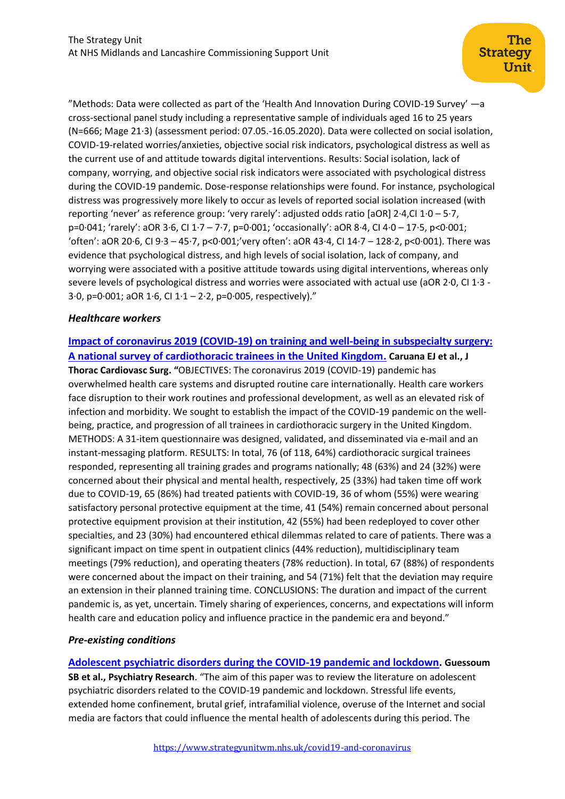"Methods: Data were collected as part of the 'Health And Innovation During COVID-19 Survey' —a cross-sectional panel study including a representative sample of individuals aged 16 to 25 years (N=666; Mage 21·3) (assessment period: 07.05.-16.05.2020). Data were collected on social isolation, COVID-19-related worries/anxieties, objective social risk indicators, psychological distress as well as the current use of and attitude towards digital interventions. Results: Social isolation, lack of company, worrying, and objective social risk indicators were associated with psychological distress during the COVID-19 pandemic. Dose-response relationships were found. For instance, psychological distress was progressively more likely to occur as levels of reported social isolation increased (with reporting 'never' as reference group: 'very rarely': adjusted odds ratio [aOR] 2·4,CI 1·0 – 5·7, p=0·041; 'rarely': aOR 3·6, CI 1·7 – 7·7, p=0·001; 'occasionally': aOR 8·4, CI 4·0 – 17·5, p<0·001; 'often': aOR 20·6, CI 9·3 – 45·7, p<0·001;'very often': aOR 43·4, CI 14·7 – 128·2, p<0·001). There was evidence that psychological distress, and high levels of social isolation, lack of company, and worrying were associated with a positive attitude towards using digital interventions, whereas only severe levels of psychological distress and worries were associated with actual use (aOR 2·0, CI 1·3 - 3 $\cdot$ 0, p=0 $\cdot$ 001; aOR 1 $\cdot$ 6, CI 1 $\cdot$ 1 – 2 $\cdot$ 2, p=0 $\cdot$ 005, respectively)."

## *Healthcare workers*

## **[Impact of coronavirus 2019 \(COVID-19\) on training and well-being in subspecialty surgery:](https://www.jtcvs.org/article/S0022-5223(20)31275-7/pdf)  [A national survey of cardiothoracic trainees in the United Kingdom.](https://www.jtcvs.org/article/S0022-5223(20)31275-7/pdf) Caruana EJ et al., J**

**Thorac Cardiovasc Surg. "**OBJECTIVES: The coronavirus 2019 (COVID-19) pandemic has overwhelmed health care systems and disrupted routine care internationally. Health care workers face disruption to their work routines and professional development, as well as an elevated risk of infection and morbidity. We sought to establish the impact of the COVID-19 pandemic on the wellbeing, practice, and progression of all trainees in cardiothoracic surgery in the United Kingdom. METHODS: A 31-item questionnaire was designed, validated, and disseminated via e-mail and an instant-messaging platform. RESULTS: In total, 76 (of 118, 64%) cardiothoracic surgical trainees responded, representing all training grades and programs nationally; 48 (63%) and 24 (32%) were concerned about their physical and mental health, respectively, 25 (33%) had taken time off work due to COVID-19, 65 (86%) had treated patients with COVID-19, 36 of whom (55%) were wearing satisfactory personal protective equipment at the time, 41 (54%) remain concerned about personal protective equipment provision at their institution, 42 (55%) had been redeployed to cover other specialties, and 23 (30%) had encountered ethical dilemmas related to care of patients. There was a significant impact on time spent in outpatient clinics (44% reduction), multidisciplinary team meetings (79% reduction), and operating theaters (78% reduction). In total, 67 (88%) of respondents were concerned about the impact on their training, and 54 (71%) felt that the deviation may require an extension in their planned training time. CONCLUSIONS: The duration and impact of the current pandemic is, as yet, uncertain. Timely sharing of experiences, concerns, and expectations will inform health care and education policy and influence practice in the pandemic era and beyond."

#### *Pre-existing conditions*

**[Adolescent psychiatric disorders during the COVID-19 pandemic and lockdown.](https://www.ncbi.nlm.nih.gov/pmc/articles/PMC7323662/) Guessoum SB et al., Psychiatry Research**. "The aim of this paper was to review the literature on adolescent psychiatric disorders related to the COVID-19 pandemic and lockdown. Stressful life events, extended home confinement, brutal grief, intrafamilial violence, overuse of the Internet and social media are factors that could influence the mental health of adolescents during this period. The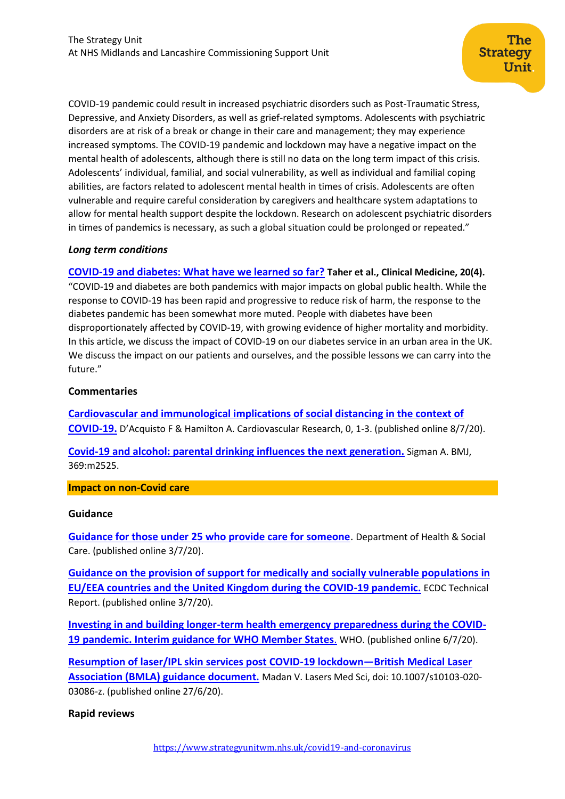COVID-19 pandemic could result in increased psychiatric disorders such as Post-Traumatic Stress, Depressive, and Anxiety Disorders, as well as grief-related symptoms. Adolescents with psychiatric disorders are at risk of a break or change in their care and management; they may experience increased symptoms. The COVID-19 pandemic and lockdown may have a negative impact on the mental health of adolescents, although there is still no data on the long term impact of this crisis. Adolescents' individual, familial, and social vulnerability, as well as individual and familial coping abilities, are factors related to adolescent mental health in times of crisis. Adolescents are often vulnerable and require careful consideration by caregivers and healthcare system adaptations to allow for mental health support despite the lockdown. Research on adolescent psychiatric disorders in times of pandemics is necessary, as such a global situation could be prolonged or repeated."

#### *Long term conditions*

**[COVID-19 and diabetes: What have we learned so far?](https://www.rcpjournals.org/content/clinmedicine/early/2020/05/22/clinmed.2020-0261) Taher et al., Clinical Medicine, 20(4).** "COVID-19 and diabetes are both pandemics with major impacts on global public health. While the response to COVID-19 has been rapid and progressive to reduce risk of harm, the response to the diabetes pandemic has been somewhat more muted. People with diabetes have been disproportionately affected by COVID-19, with growing evidence of higher mortality and morbidity. In this article, we discuss the impact of COVID-19 on our diabetes service in an urban area in the UK. We discuss the impact on our patients and ourselves, and the possible lessons we can carry into the future."

## **Commentaries**

**[Cardiovascular and immunological implications of social distancing in the context of](https://watermark.silverchair.com/cvaa167.pdf?token=AQECAHi208BE49Ooan9kkhW_Ercy7Dm3ZL_9Cf3qfKAc485ysgAAArAwggKsBgkqhkiG9w0BBwagggKdMIICmQIBADCCApIGCSqGSIb3DQEHATAeBglghkgBZQMEAS4wEQQMBsDLA73YUQVJFtynAgEQgIICY0o6cxaCt8gsVnA8zlaoQTGATRU7Y-k5wFU83zjr9NSGBHQcbQ43EF5_8-hdBU-3hq5QN5_I7xdutBegZIxHMLFKTaSRwacifi4TpI2D9RHgBO3uw1i-R1F3DduGh6skPVbYIrTFxz6EOjN8lhp17XL7in246FAUUGwmjAScYp978ExARTmsNHjnqrlGioirk2DM3pCzBN1PT98t7LTUyjVptsp2N1wM1SZYTHe3ehuS8kGNch_1tunulu2nnUi3OwCOi3Up2A8SjwkWnPr-EmBWDBeX4H9uJFi2UJzUyy4ti9fbSVNl9h2UaEIN3CHGglI9OodcmikfeR5oXOhgRTa-_5GlCmsEW1jymCW_mAiXr_AOCcXdFynJVriIxOLfvKLU4qg0YRRVx-On8s0FGlEZqtsWvF6_fIuVGVlE7woNJFIkpRiJlIe4sxKcrn-DftwI7wWHCBHmMV7r5xDd_EAsNT67SZA02tt3Spl76q531WFCHKScyzYrGtkMfkGJ0GPIyBmNQoDQ6iuyCH-SJLMoPB-l6y6kiJ_4nxcYaHCfhQlIWq-xWCyjtsewAbiM42nVj2xeTqt_2tRrd35hRZLRmRwWzrDn6YeEPROHQfJQTr67a27sPApkRr6FKO0y6ny2kzq2Zjk4EAMDaJyQGouiou8fPnxiloezY-1DMJq4F-J2lFgJvEtsyzFSsajObsI1iRpP0AuPAfJNsR843C-eh2dA6nb3YUb-NU0sFFS70-jE2WstBMP8V1wx-YF5Baf-b9uK9qebniCCpJJ1wAXsihgTQgpWU4hGnaj6U3PrXhbD)  [COVID-19.](https://watermark.silverchair.com/cvaa167.pdf?token=AQECAHi208BE49Ooan9kkhW_Ercy7Dm3ZL_9Cf3qfKAc485ysgAAArAwggKsBgkqhkiG9w0BBwagggKdMIICmQIBADCCApIGCSqGSIb3DQEHATAeBglghkgBZQMEAS4wEQQMBsDLA73YUQVJFtynAgEQgIICY0o6cxaCt8gsVnA8zlaoQTGATRU7Y-k5wFU83zjr9NSGBHQcbQ43EF5_8-hdBU-3hq5QN5_I7xdutBegZIxHMLFKTaSRwacifi4TpI2D9RHgBO3uw1i-R1F3DduGh6skPVbYIrTFxz6EOjN8lhp17XL7in246FAUUGwmjAScYp978ExARTmsNHjnqrlGioirk2DM3pCzBN1PT98t7LTUyjVptsp2N1wM1SZYTHe3ehuS8kGNch_1tunulu2nnUi3OwCOi3Up2A8SjwkWnPr-EmBWDBeX4H9uJFi2UJzUyy4ti9fbSVNl9h2UaEIN3CHGglI9OodcmikfeR5oXOhgRTa-_5GlCmsEW1jymCW_mAiXr_AOCcXdFynJVriIxOLfvKLU4qg0YRRVx-On8s0FGlEZqtsWvF6_fIuVGVlE7woNJFIkpRiJlIe4sxKcrn-DftwI7wWHCBHmMV7r5xDd_EAsNT67SZA02tt3Spl76q531WFCHKScyzYrGtkMfkGJ0GPIyBmNQoDQ6iuyCH-SJLMoPB-l6y6kiJ_4nxcYaHCfhQlIWq-xWCyjtsewAbiM42nVj2xeTqt_2tRrd35hRZLRmRwWzrDn6YeEPROHQfJQTr67a27sPApkRr6FKO0y6ny2kzq2Zjk4EAMDaJyQGouiou8fPnxiloezY-1DMJq4F-J2lFgJvEtsyzFSsajObsI1iRpP0AuPAfJNsR843C-eh2dA6nb3YUb-NU0sFFS70-jE2WstBMP8V1wx-YF5Baf-b9uK9qebniCCpJJ1wAXsihgTQgpWU4hGnaj6U3PrXhbD)** D'Acquisto F & Hamilton A. Cardiovascular Research, 0, 1-3. (published online 8/7/20).

**[Covid-19 and alcohol: parental drinking influences the next generation.](https://www.bmj.com/content/369/bmj.m2525?utm_source=etoc&utm_medium=email&utm_campaign=tbmj&utm_content=weekly&utm_term=20200703)** Sigman A. BMJ, 369:m2525.

#### **Impact on non-Covid care**

#### **Guidance**

**[Guidance for those under 25 who provide care for someone](https://www.gov.uk/government/publications/young-carers-and-young-adult-carers-providing-care-during-coronavirus/guidance-for-those-under-25-who-provide-care-for-someone)**. Department of Health & Social Care. (published online 3/7/20).

**[Guidance on the provision of support for medically and socially vulnerable populations in](https://www.ecdc.europa.eu/en/publications-data/guidance-medically-and-socially-vulnerable-populations-covid-19)  [EU/EEA countries and the United Kingdom during the COVID-19 pandemic.](https://www.ecdc.europa.eu/en/publications-data/guidance-medically-and-socially-vulnerable-populations-covid-19)** ECDC Technical Report. (published online 3/7/20).

**[Investing in and building longer-term health emergency preparedness during the COVID-](https://www.who.int/publications/i/item/investing-in-and-building-longer-term-health-emergency-preparedness-during-the-covid-19-pandemic)19 pandemic. Interim [guidance for WHO Member States](https://www.who.int/publications/i/item/investing-in-and-building-longer-term-health-emergency-preparedness-during-the-covid-19-pandemic)**. WHO. (published online 6/7/20).

**[Resumption of laser/IPL skin services post COVID-19 lockdown](https://www.ncbi.nlm.nih.gov/pmc/articles/PMC7319908/)—British Medical Laser [Association \(BMLA\) guidance document.](https://www.ncbi.nlm.nih.gov/pmc/articles/PMC7319908/)** Madan V. Lasers Med Sci, doi: 10.1007/s10103-020- 03086-z. (published online 27/6/20).

## **Rapid reviews**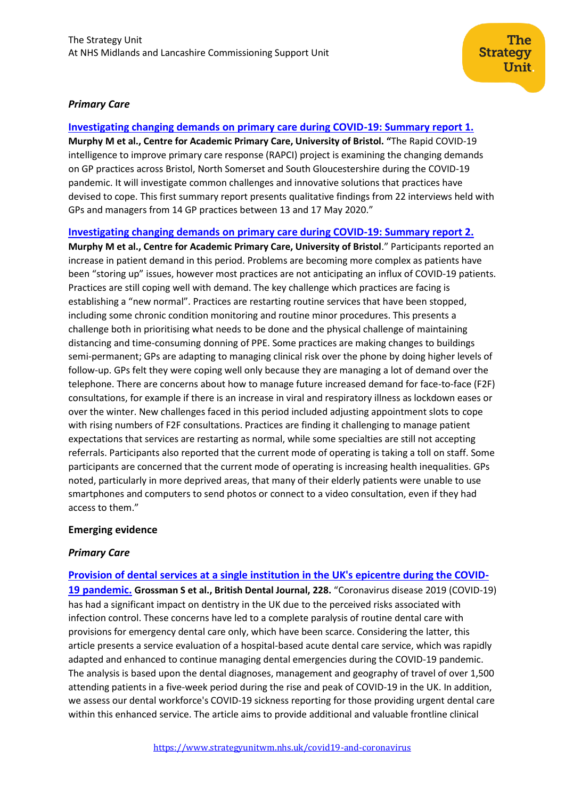## *Primary Care*

**[Investigating changing demands on primary care during COVID-19: Summary report 1.](https://arc-w.nihr.ac.uk/research-and-implementation/covid-19-response/reports/rapid-covid-19-intelligence-to-improve-primary-care-response-summary-report-1/) Murphy M et al., Centre for Academic Primary Care, University of Bristol. "**The Rapid COVID-19 intelligence to improve primary care response (RAPCI) project is examining the changing demands on GP practices across Bristol, North Somerset and South Gloucestershire during the COVID-19 pandemic. It will investigate common challenges and innovative solutions that practices have devised to cope. This first summary report presents qualitative findings from 22 interviews held with GPs and managers from 14 GP practices between 13 and 17 May 2020."

## **[Investigating changing demands on primary care during COVID-19: Summary report 2.](https://arc-w.nihr.ac.uk/research-and-implementation/covid-19-response/reports/rapid-covid-19-intelligence-to-improve-primary-care-response-summary-report-2/)**

**Murphy M et al., Centre for Academic Primary Care, University of Bristol**." Participants reported an increase in patient demand in this period. Problems are becoming more complex as patients have been "storing up" issues, however most practices are not anticipating an influx of COVID-19 patients. Practices are still coping well with demand. The key challenge which practices are facing is establishing a "new normal". Practices are restarting routine services that have been stopped, including some chronic condition monitoring and routine minor procedures. This presents a challenge both in prioritising what needs to be done and the physical challenge of maintaining distancing and time-consuming donning of PPE. Some practices are making changes to buildings semi-permanent; GPs are adapting to managing clinical risk over the phone by doing higher levels of follow-up. GPs felt they were coping well only because they are managing a lot of demand over the telephone. There are concerns about how to manage future increased demand for face-to-face (F2F) consultations, for example if there is an increase in viral and respiratory illness as lockdown eases or over the winter. New challenges faced in this period included adjusting appointment slots to cope with rising numbers of F2F consultations. Practices are finding it challenging to manage patient expectations that services are restarting as normal, while some specialties are still not accepting referrals. Participants also reported that the current mode of operating is taking a toll on staff. Some participants are concerned that the current mode of operating is increasing health inequalities. GPs noted, particularly in more deprived areas, that many of their elderly patients were unable to use smartphones and computers to send photos or connect to a video consultation, even if they had access to them."

## **Emerging evidence**

## *Primary Care*

## **[Provision of dental services at a single institution in the UK's epicentre during the COVID-](nature.com/articles/s41415-020-1716-2)**

**[19 pandemic.](nature.com/articles/s41415-020-1716-2) Grossman S et al., British Dental Journal, 228.** "Coronavirus disease 2019 (COVID-19) has had a significant impact on dentistry in the UK due to the perceived risks associated with infection control. These concerns have led to a complete paralysis of routine dental care with provisions for emergency dental care only, which have been scarce. Considering the latter, this article presents a service evaluation of a hospital-based acute dental care service, which was rapidly adapted and enhanced to continue managing dental emergencies during the COVID-19 pandemic. The analysis is based upon the dental diagnoses, management and geography of travel of over 1,500 attending patients in a five-week period during the rise and peak of COVID-19 in the UK. In addition, we assess our dental workforce's COVID-19 sickness reporting for those providing urgent dental care within this enhanced service. The article aims to provide additional and valuable frontline clinical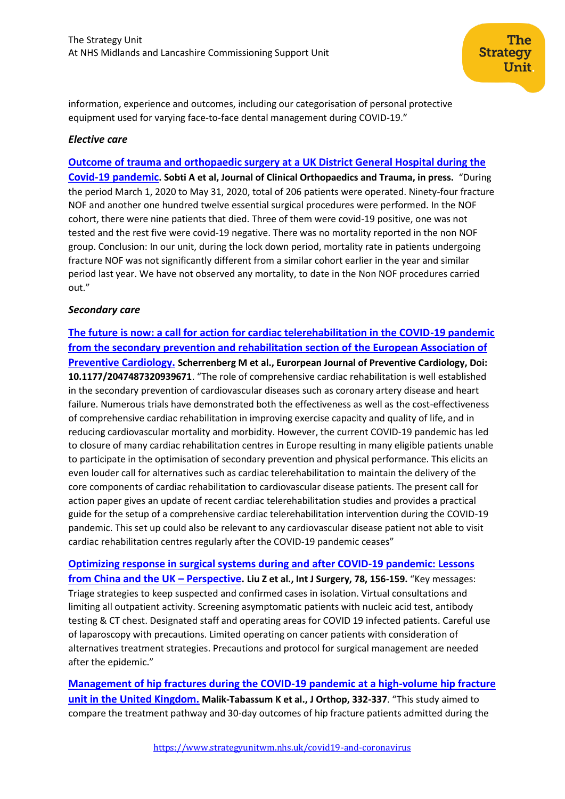information, experience and outcomes, including our categorisation of personal protective equipment used for varying face-to-face dental management during COVID-19."

## *Elective care*

**[Outcome of trauma and orthopaedic surgery at a UK District General Hospital during the](https://www.sciencedirect.com/science/article/pii/S0976566220302964)  [Covid-19 pandemic](https://www.sciencedirect.com/science/article/pii/S0976566220302964). Sobti A et al, Journal of Clinical Orthopaedics and Trauma, in press.** "During the period March 1, 2020 to May 31, 2020, total of 206 patients were operated. Ninety-four fracture NOF and another one hundred twelve essential surgical procedures were performed. In the NOF cohort, there were nine patients that died. Three of them were covid-19 positive, one was not tested and the rest five were covid-19 negative. There was no mortality reported in the non NOF group. Conclusion: In our unit, during the lock down period, mortality rate in patients undergoing fracture NOF was not significantly different from a similar cohort earlier in the year and similar period last year. We have not observed any mortality, to date in the Non NOF procedures carried out."

## *Secondary care*

**[The future is now: a call for action for cardiac telerehabilitation in the COVID-19 pandemic](https://journals.sagepub.com/doi/full/10.1177/2047487320939671)  [from the secondary prevention and rehabilitation section of the European Association of](https://journals.sagepub.com/doi/full/10.1177/2047487320939671)  [Preventive Cardiology.](https://journals.sagepub.com/doi/full/10.1177/2047487320939671) Scherrenberg M et al., Eurorpean Journal of Preventive Cardiology, Doi: 10.1177/2047487320939671**. "The role of comprehensive cardiac rehabilitation is well established in the secondary prevention of cardiovascular diseases such as coronary artery disease and heart failure. Numerous trials have demonstrated both the effectiveness as well as the cost-effectiveness of comprehensive cardiac rehabilitation in improving exercise capacity and quality of life, and in reducing cardiovascular mortality and morbidity. However, the current COVID-19 pandemic has led to closure of many cardiac rehabilitation centres in Europe resulting in many eligible patients unable to participate in the optimisation of secondary prevention and physical performance. This elicits an even louder call for alternatives such as cardiac telerehabilitation to maintain the delivery of the core components of cardiac rehabilitation to cardiovascular disease patients. The present call for action paper gives an update of recent cardiac telerehabilitation studies and provides a practical guide for the setup of a comprehensive cardiac telerehabilitation intervention during the COVID-19 pandemic. This set up could also be relevant to any cardiovascular disease patient not able to visit cardiac rehabilitation centres regularly after the COVID-19 pandemic ceases"

**[Optimizing response in surgical systems during and after COVID-19 pandemic: Lessons](https://www.sciencedirect.com/science/article/pii/S1743919120303629?via%3Dihub)  [from China and the UK](https://www.sciencedirect.com/science/article/pii/S1743919120303629?via%3Dihub) – Perspective. Liu Z et al., Int J Surgery, 78, 156-159.** "Key messages: Triage strategies to keep suspected and confirmed cases in isolation. Virtual consultations and limiting all outpatient activity. Screening asymptomatic patients with nucleic acid test, antibody testing & CT chest. Designated staff and operating areas for COVID 19 infected patients. Careful use of laparoscopy with precautions. Limited operating on cancer patients with consideration of alternatives treatment strategies. Precautions and protocol for surgical management are needed after the epidemic."

**[Management of hip fractures during the COVID-19 pandemic at a high-volume hip fracture](https://www.ncbi.nlm.nih.gov/pmc/articles/PMC7330585/)  [unit in the United Kingdom.](https://www.ncbi.nlm.nih.gov/pmc/articles/PMC7330585/) Malik-Tabassum K et al., J Orthop, 332-337**. "This study aimed to compare the treatment pathway and 30-day outcomes of hip fracture patients admitted during the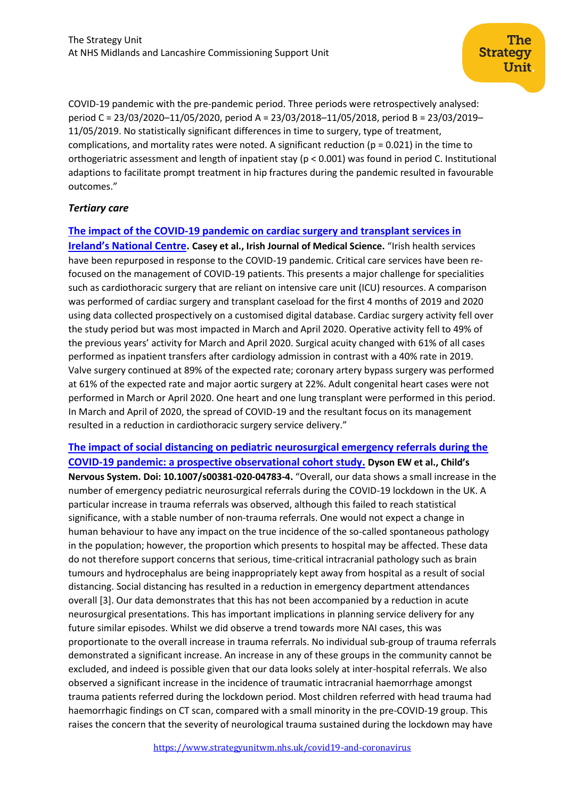COVID-19 pandemic with the pre-pandemic period. Three periods were retrospectively analysed: period C = 23/03/2020–11/05/2020, period A = 23/03/2018–11/05/2018, period B = 23/03/2019– 11/05/2019. No statistically significant differences in time to surgery, type of treatment, complications, and mortality rates were noted. A significant reduction ( $p = 0.021$ ) in the time to orthogeriatric assessment and length of inpatient stay (p < 0.001) was found in period C. Institutional adaptions to facilitate prompt treatment in hip fractures during the pandemic resulted in favourable outcomes."

## *Tertiary care*

## **[The impact of the COVID-19 pandemic on cardiac surgery and transplant services in](https://link.springer.com/article/10.1007/s11845-020-02292-6)**

**[Ireland's National Centre](https://link.springer.com/article/10.1007/s11845-020-02292-6). Casey et al., Irish Journal of Medical Science.** "Irish health services have been repurposed in response to the COVID-19 pandemic. Critical care services have been refocused on the management of COVID-19 patients. This presents a major challenge for specialities such as cardiothoracic surgery that are reliant on intensive care unit (ICU) resources. A comparison was performed of cardiac surgery and transplant caseload for the first 4 months of 2019 and 2020 using data collected prospectively on a customised digital database. Cardiac surgery activity fell over the study period but was most impacted in March and April 2020. Operative activity fell to 49% of the previous years' activity for March and April 2020. Surgical acuity changed with 61% of all cases performed as inpatient transfers after cardiology admission in contrast with a 40% rate in 2019. Valve surgery continued at 89% of the expected rate; coronary artery bypass surgery was performed at 61% of the expected rate and major aortic surgery at 22%. Adult congenital heart cases were not performed in March or April 2020. One heart and one lung transplant were performed in this period. In March and April of 2020, the spread of COVID-19 and the resultant focus on its management resulted in a reduction in cardiothoracic surgery service delivery."

**[The impact of social distancing on pediatric neurosurgical emergency referrals during the](https://link.springer.com/content/pdf/10.1007/s00381-020-04783-4.pdf)  [COVID-19 pandemic: a prospective observational cohort study.](https://link.springer.com/content/pdf/10.1007/s00381-020-04783-4.pdf) Dyson EW et al., Child's Nervous System. Doi: 10.1007/s00381-020-04783-4.** "Overall, our data shows a small increase in the number of emergency pediatric neurosurgical referrals during the COVID-19 lockdown in the UK. A particular increase in trauma referrals was observed, although this failed to reach statistical significance, with a stable number of non-trauma referrals. One would not expect a change in human behaviour to have any impact on the true incidence of the so-called spontaneous pathology in the population; however, the proportion which presents to hospital may be affected. These data do not therefore support concerns that serious, time-critical intracranial pathology such as brain tumours and hydrocephalus are being inappropriately kept away from hospital as a result of social distancing. Social distancing has resulted in a reduction in emergency department attendances overall [3]. Our data demonstrates that this has not been accompanied by a reduction in acute neurosurgical presentations. This has important implications in planning service delivery for any future similar episodes. Whilst we did observe a trend towards more NAI cases, this was proportionate to the overall increase in trauma referrals. No individual sub-group of trauma referrals demonstrated a significant increase. An increase in any of these groups in the community cannot be excluded, and indeed is possible given that our data looks solely at inter-hospital referrals. We also observed a significant increase in the incidence of traumatic intracranial haemorrhage amongst trauma patients referred during the lockdown period. Most children referred with head trauma had haemorrhagic findings on CT scan, compared with a small minority in the pre-COVID-19 group. This raises the concern that the severity of neurological trauma sustained during the lockdown may have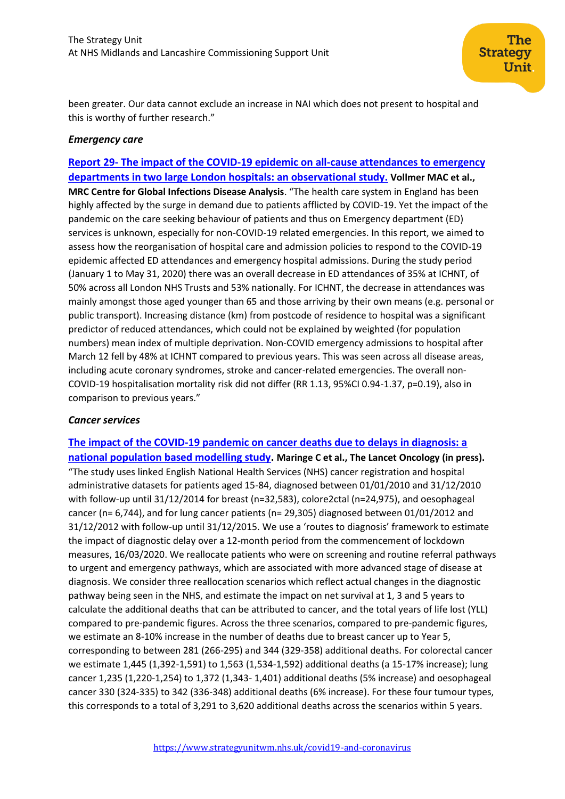been greater. Our data cannot exclude an increase in NAI which does not present to hospital and this is worthy of further research."

## *Emergency care*

**Report 29- [The impact of the COVID-19 epidemic on all-cause attendances to emergency](https://www.imperial.ac.uk/mrc-global-infectious-disease-analysis/covid-19/report-29-emergency-attendance/)  [departments in two large London hospitals: an observational study.](https://www.imperial.ac.uk/mrc-global-infectious-disease-analysis/covid-19/report-29-emergency-attendance/) Vollmer MAC et al., MRC Centre for Global Infections Disease Analysis**. "The health care system in England has been highly affected by the surge in demand due to patients afflicted by COVID-19. Yet the impact of the pandemic on the care seeking behaviour of patients and thus on Emergency department (ED) services is unknown, especially for non-COVID-19 related emergencies. In this report, we aimed to assess how the reorganisation of hospital care and admission policies to respond to the COVID-19 epidemic affected ED attendances and emergency hospital admissions. During the study period (January 1 to May 31, 2020) there was an overall decrease in ED attendances of 35% at ICHNT, of 50% across all London NHS Trusts and 53% nationally. For ICHNT, the decrease in attendances was mainly amongst those aged younger than 65 and those arriving by their own means (e.g. personal or public transport). Increasing distance (km) from postcode of residence to hospital was a significant predictor of reduced attendances, which could not be explained by weighted (for population numbers) mean index of multiple deprivation. Non-COVID emergency admissions to hospital after March 12 fell by 48% at ICHNT compared to previous years. This was seen across all disease areas, including acute coronary syndromes, stroke and cancer-related emergencies. The overall non-COVID-19 hospitalisation mortality risk did not differ (RR 1.13, 95%CI 0.94-1.37, p=0.19), also in comparison to previous years."

#### *Cancer services*

**[The impact of the COVID-19 pandemic on cancer deaths due to delays in diagnosis: a](https://researchonline.lshtm.ac.uk/id/eprint/4657274/1/Maringe-etal-2020_The_impact_of_the_COVID-19-pandemic-2.pdf)  [national population based modelling study.](https://researchonline.lshtm.ac.uk/id/eprint/4657274/1/Maringe-etal-2020_The_impact_of_the_COVID-19-pandemic-2.pdf) Maringe C et al., The Lancet Oncology (in press).**  "The study uses linked English National Health Services (NHS) cancer registration and hospital administrative datasets for patients aged 15-84, diagnosed between 01/01/2010 and 31/12/2010 with follow-up until 31/12/2014 for breast (n=32,583), colore2ctal (n=24,975), and oesophageal cancer (n= 6,744), and for lung cancer patients (n= 29,305) diagnosed between 01/01/2012 and 31/12/2012 with follow-up until 31/12/2015. We use a 'routes to diagnosis' framework to estimate the impact of diagnostic delay over a 12-month period from the commencement of lockdown measures, 16/03/2020. We reallocate patients who were on screening and routine referral pathways to urgent and emergency pathways, which are associated with more advanced stage of disease at diagnosis. We consider three reallocation scenarios which reflect actual changes in the diagnostic pathway being seen in the NHS, and estimate the impact on net survival at 1, 3 and 5 years to calculate the additional deaths that can be attributed to cancer, and the total years of life lost (YLL) compared to pre-pandemic figures. Across the three scenarios, compared to pre-pandemic figures, we estimate an 8-10% increase in the number of deaths due to breast cancer up to Year 5, corresponding to between 281 (266-295) and 344 (329-358) additional deaths. For colorectal cancer we estimate 1,445 (1,392-1,591) to 1,563 (1,534-1,592) additional deaths (a 15-17% increase); lung cancer 1,235 (1,220-1,254) to 1,372 (1,343- 1,401) additional deaths (5% increase) and oesophageal cancer 330 (324-335) to 342 (336-348) additional deaths (6% increase). For these four tumour types, this corresponds to a total of 3,291 to 3,620 additional deaths across the scenarios within 5 years.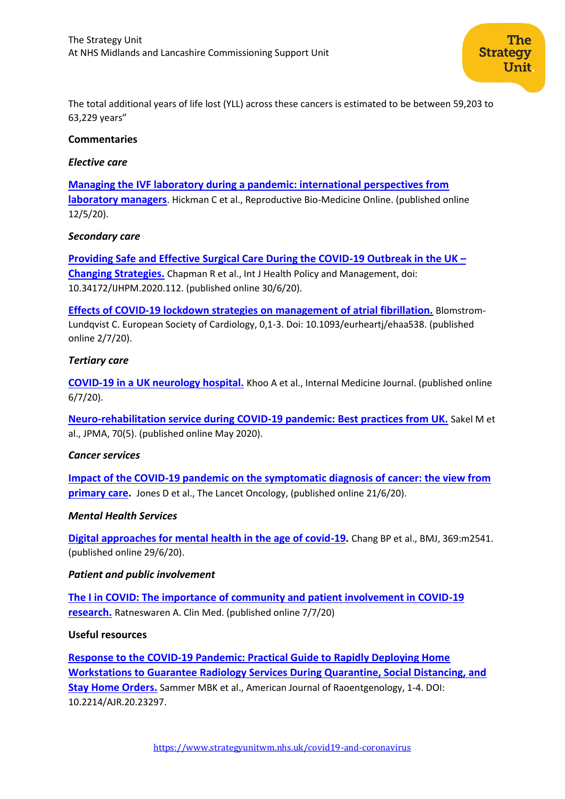The total additional years of life lost (YLL) across these cancers is estimated to be between 59,203 to 63,229 years"

#### **Commentaries**

#### *Elective care*

**[Managing the IVF laboratory during a pandemic: international perspectives from](https://www.rbmojournal.com/article/S1472-6483(20)30273-X/pdf)  [laboratory managers](https://www.rbmojournal.com/article/S1472-6483(20)30273-X/pdf)**. Hickman C et al., Reproductive Bio-Medicine Online. (published online 12/5/20).

#### *Secondary care*

**[Providing Safe and Effective Surgical Care During the COVID-19 Outbreak in the UK](https://www.ijhpm.com/article_3845.html) – [Changing Strategies.](https://www.ijhpm.com/article_3845.html)** Chapman R et al., Int J Health Policy and Management, doi: 10.34172/IJHPM.2020.112. (published online 30/6/20).

**[Effects of COVID-19 lockdown strategies on management of atrial fibrillation.](https://watermark.silverchair.com/ehaa538.pdf?token=AQECAHi208BE49Ooan9kkhW_Ercy7Dm3ZL_9Cf3qfKAc485ysgAAArQwggKwBgkqhkiG9w0BBwagggKhMIICnQIBADCCApYGCSqGSIb3DQEHATAeBglghkgBZQMEAS4wEQQM6DyL2mgjZ0glof4iAgEQgIICZ4epk3a3cAgpovavyy4Xcs0xim7g57Rw71LVEvq3p4Sm0BzeynhIeVJx0yZgTFmt3MBlXPVnHwyc_CK4vocOV6XQO6eWM3dB4M3QDiHccW0zRTtlpwo27-YHfrRU_ICb5wpZpNOrHfzdCC7J_5kEiviw_sFTqOwC0NzINghswbwvEaR9e4hpxThjitHVyHgrWqPBd125oDWm9jEnlyHrKi4lT1crnUn2pUR3oGt7aQFuhudvXw-ooqrHAFOQm7mRTaAyvQhw7JptB-rwcSwwMZKa7XF4CG2h5XIGKR021nxn0pCm5oZQbS4DkrrkQrrvZECn8nRaV35SF43DtVRAHz4t8mVcjWlauMiyyLJFn1NA2fc7pBIjpcMSyL39BWczUBtju3tT7MKJpxw7J8lscKl7MYd-XTcixIJ4EoJqbd2W1_-BWZme4YzPGuaGNmLpYOSK0zJJLnGKSQ9YU0zIvfZo1ti58wp7Go0dCFLqGGSfV5AaKLZHCR3Zxf098_ByyPBmXjVxFs-UQIOiY8RdX5nVtjQd26AOipXyPpqawkWKfMP1o5J2hchjGkIClrgJwVMgvUEiEB8unW_VT9hB6uPEkDNBjeQj9ipjEGyGJkShTiWQj83YYimSNsHkjVU9CSvDpMJ8KhMb8LjtfeSv__cVp-OC7UzC3gbmV-jbNf8nT1ZcG18MyAjh1t4eSNFf-G_RM_Hlic-qTB1Hjcz5Z7ec95V5K9szTRTJAaWNWwUJKtbdQh9q4wjKhPpMUfxwj4bVt_ka_0vwCm8-49X7xDpOexgyLn50CVnLUCevrlVQtynbuP8AxQ)** Blomstrom-Lundqvist C. European Society of Cardiology, 0,1-3. Doi: 10.1093/eurheartj/ehaa538. (published online 2/7/20).

## *Tertiary care*

**[COVID‐19 in a UK neurology hospital.](https://onlinelibrary.wiley.com/doi/full/10.1111/imj.14925)** Khoo A et al., Internal Medicine Journal. (published online 6/7/20).

**[Neuro-rehabilitation service during COVID-19 pandemic: Best practices from UK.](https://europepmc.org/article/med/32515396)** Sakel M et al., JPMA, 70(5). (published online May 2020).

#### *Cancer services*

**[Impact of the COVID-19 pandemic on the symptomatic diagnosis of cancer: the view from](https://www.thelancet.com/pdfs/journals/lanonc/PIIS1470-2045(20)30242-4.pdf)  [primary care.](https://www.thelancet.com/pdfs/journals/lanonc/PIIS1470-2045(20)30242-4.pdf)** Jones D et al., The Lancet Oncology, (published online 21/6/20).

#### *Mental Health Services*

**[Digital approaches for mental health in the age of covid-19.](https://www.bmj.com/content/369/bmj.m2541?utm_source=etoc&utm_medium=email&utm_campaign=tbmj&utm_content=weekly&utm_term=20200703)** Chang BP et al., BMJ, 369:m2541. (published online 29/6/20).

#### *Patient and public involvement*

**[The I in COVID: The importance of community and patient involvement in COVID-19](https://www.ncbi.nlm.nih.gov/research/coronavirus/publication/32628127)  [research.](https://www.ncbi.nlm.nih.gov/research/coronavirus/publication/32628127)** Ratneswaren A. Clin Med. (published online 7/7/20)

#### **Useful resources**

**[Response to the COVID-19 Pandemic: Practical Guide to Rapidly Deploying Home](https://www.ajronline.org/doi/pdf/10.2214/AJR.20.23297)  [Workstations to Guarantee Radiology Services During Quarantine, Social Distancing, and](https://www.ajronline.org/doi/pdf/10.2214/AJR.20.23297)  [Stay Home Orders.](https://www.ajronline.org/doi/pdf/10.2214/AJR.20.23297)** Sammer MBK et al., American Journal of Raoentgenology, 1-4. DOI: 10.2214/AJR.20.23297.